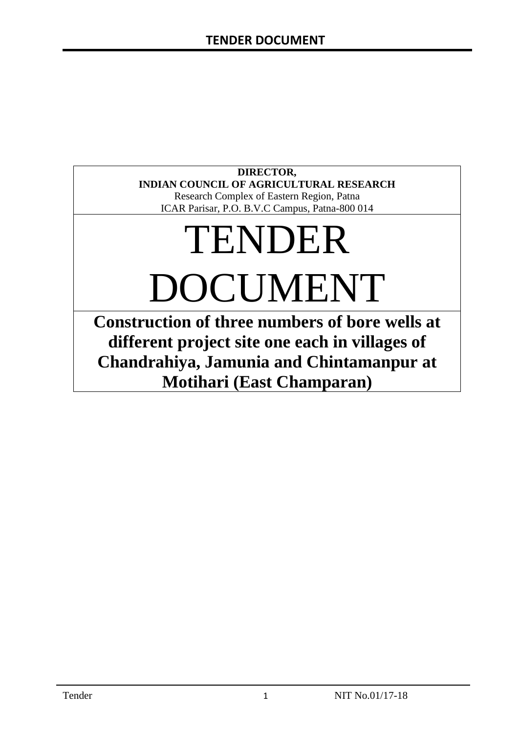# **DIRECTOR, INDIAN COUNCIL OF AGRICULTURAL RESEARCH**

Research Complex of Eastern Region, Patna ICAR Parisar, P.O. B.V.C Campus, Patna-800 014

# TENDER DOCUMENT

**Construction of three numbers of bore wells at different project site one each in villages of Chandrahiya, Jamunia and Chintamanpur at Motihari (East Champaran)**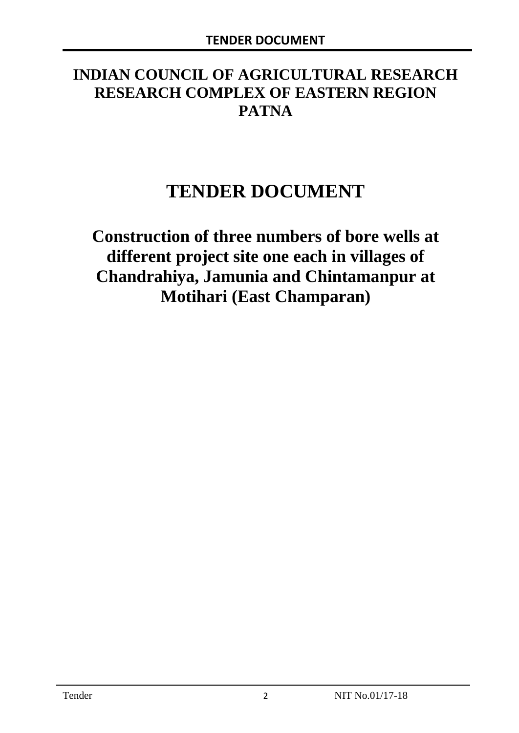# **INDIAN COUNCIL OF AGRICULTURAL RESEARCH RESEARCH COMPLEX OF EASTERN REGION PATNA**

# **TENDER DOCUMENT**

**Construction of three numbers of bore wells at different project site one each in villages of Chandrahiya, Jamunia and Chintamanpur at Motihari (East Champaran)**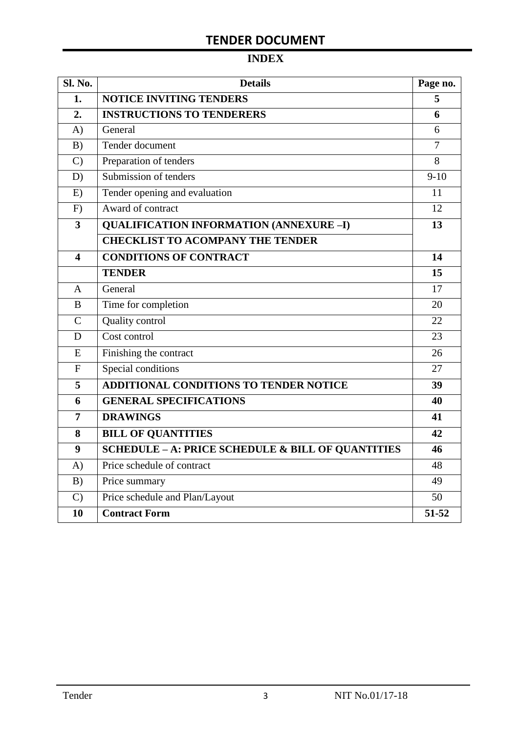# **INDEX**

| Sl. No.                 | <b>Details</b>                                               |                |
|-------------------------|--------------------------------------------------------------|----------------|
| 1.                      | <b>NOTICE INVITING TENDERS</b>                               |                |
| 2.                      | <b>INSTRUCTIONS TO TENDERERS</b>                             | 6              |
| A)                      | General                                                      | 6              |
| B)                      | Tender document                                              | $\overline{7}$ |
| $\mathcal{C}$           | Preparation of tenders                                       | 8              |
| D)                      | Submission of tenders                                        | $9-10$         |
| E)                      | Tender opening and evaluation                                | 11             |
| F)                      | Award of contract                                            | 12             |
| $\overline{\mathbf{3}}$ | <b>QUALIFICATION INFORMATION (ANNEXURE-I)</b>                | 13             |
|                         | <b>CHECKLIST TO ACOMPANY THE TENDER</b>                      |                |
| 4                       | <b>CONDITIONS OF CONTRACT</b>                                | 14             |
|                         | <b>TENDER</b>                                                | 15             |
| $\overline{A}$          | General                                                      | 17             |
| B                       | Time for completion                                          | 20             |
| $\overline{C}$          | Quality control                                              | 22             |
| D                       | Cost control                                                 | 23             |
| E                       | Finishing the contract                                       | 26             |
| $\mathbf{F}$            | Special conditions                                           | 27             |
| 5                       | <b>ADDITIONAL CONDITIONS TO TENDER NOTICE</b>                | 39             |
| 6                       | <b>GENERAL SPECIFICATIONS</b>                                | 40             |
| $\overline{7}$          | <b>DRAWINGS</b>                                              | 41             |
| 8                       | <b>BILL OF QUANTITIES</b>                                    | 42             |
| 9                       | <b>SCHEDULE - A: PRICE SCHEDULE &amp; BILL OF QUANTITIES</b> | 46             |
| A)                      | Price schedule of contract                                   | 48             |
| B)                      | Price summary                                                | 49             |
| $\mathcal{C}$           | Price schedule and Plan/Layout                               | 50             |
| 10                      | <b>Contract Form</b>                                         | 51-52          |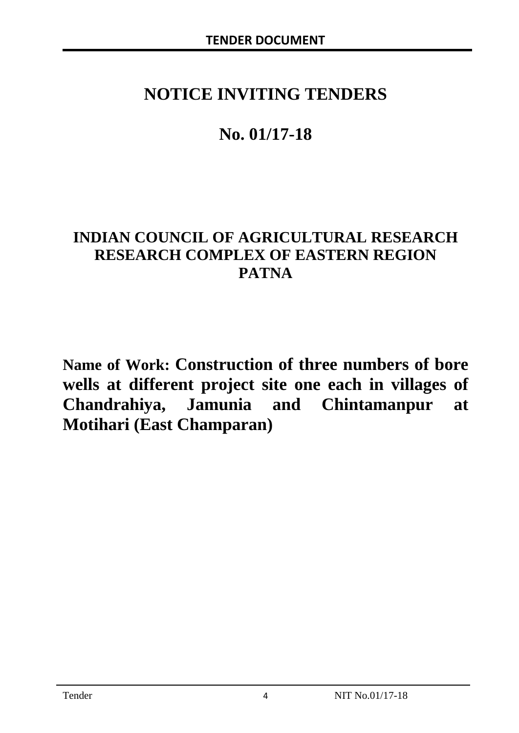# **NOTICE INVITING TENDERS**

# **No. 01/17-18**

# **INDIAN COUNCIL OF AGRICULTURAL RESEARCH RESEARCH COMPLEX OF EASTERN REGION PATNA**

**Name of Work: Construction of three numbers of bore wells at different project site one each in villages of Chandrahiya, Jamunia and Chintamanpur at Motihari (East Champaran)**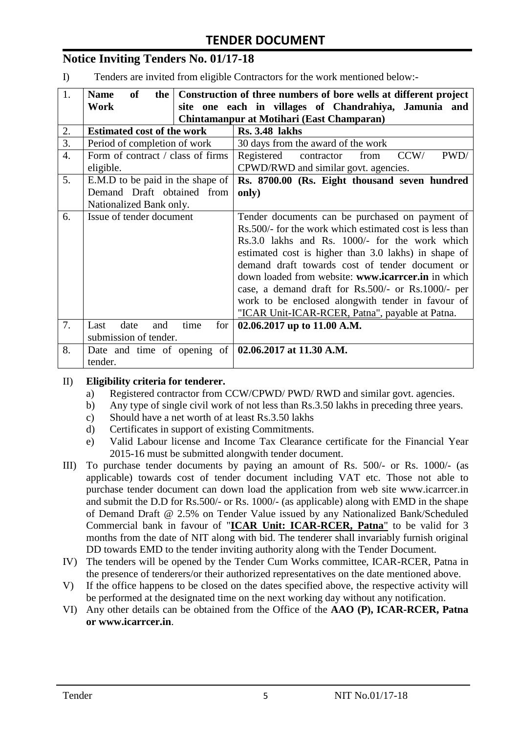# **Notice Inviting Tenders No. 01/17-18**

I) Tenders are invited from eligible Contractors for the work mentioned below:-

| 1.               | <b>of</b><br><b>Name</b><br>the                              | Construction of three numbers of bore wells at different project |  |  |
|------------------|--------------------------------------------------------------|------------------------------------------------------------------|--|--|
|                  | Work                                                         | site one each in villages of Chandrahiya, Jamunia and            |  |  |
|                  | Chintamanpur at Motihari (East Champaran)                    |                                                                  |  |  |
| 2.               | <b>Estimated cost of the work</b>                            | <b>Rs. 3.48 lakhs</b>                                            |  |  |
| 3.               | Period of completion of work                                 | 30 days from the award of the work                               |  |  |
| $\overline{4}$ . | Form of contract / class of firms                            | PWD/<br>Registered<br>CCW/<br>contractor<br>from                 |  |  |
|                  | eligible.                                                    | CPWD/RWD and similar govt. agencies.                             |  |  |
| 5.               | E.M.D to be paid in the shape of                             | Rs. 8700.00 (Rs. Eight thousand seven hundred                    |  |  |
|                  | Demand Draft obtained from                                   | only)                                                            |  |  |
|                  | Nationalized Bank only.                                      |                                                                  |  |  |
| 6.               | Issue of tender document                                     | Tender documents can be purchased on payment of                  |  |  |
|                  |                                                              | Rs. 500/- for the work which estimated cost is less than         |  |  |
|                  |                                                              | Rs.3.0 lakhs and Rs. 1000/- for the work which                   |  |  |
|                  |                                                              | estimated cost is higher than 3.0 lakhs) in shape of             |  |  |
|                  |                                                              | demand draft towards cost of tender document or                  |  |  |
|                  |                                                              | down loaded from website: www.icarrcer.in in which               |  |  |
|                  |                                                              | case, a demand draft for Rs.500/- or Rs.1000/- per               |  |  |
|                  |                                                              | work to be enclosed alongwith tender in favour of                |  |  |
|                  |                                                              | "ICAR Unit-ICAR-RCER, Patna", payable at Patna.                  |  |  |
| 7.               | date<br>time<br>Last<br>for<br>and                           | 02.06.2017 up to 11.00 A.M.                                      |  |  |
|                  | submission of tender.                                        |                                                                  |  |  |
| 8.               | Date and time of opening of $\vert 02.06.2017$ at 11.30 A.M. |                                                                  |  |  |
|                  | tender.                                                      |                                                                  |  |  |

#### II) **Eligibility criteria for tenderer.**

- a) Registered contractor from CCW/CPWD/ PWD/ RWD and similar govt. agencies.
- b) Any type of single civil work of not less than Rs.3.50 lakhs in preceding three years.
- c) Should have a net worth of at least Rs.3.50 lakhs
- d) Certificates in support of existing Commitments.
- e) Valid Labour license and Income Tax Clearance certificate for the Financial Year 2015-16 must be submitted alongwith tender document.
- III) To purchase tender documents by paying an amount of Rs. 500/- or Rs. 1000/- (as applicable) towards cost of tender document including VAT etc. Those not able to purchase tender document can down load the application from web site www.icarrcer.in and submit the D.D for Rs.500/- or Rs. 1000/- (as applicable) along with EMD in the shape of Demand Draft @ 2.5% on Tender Value issued by any Nationalized Bank/Scheduled Commercial bank in favour of "**ICAR Unit: ICAR-RCER, Patna**" to be valid for 3 months from the date of NIT along with bid. The tenderer shall invariably furnish original DD towards EMD to the tender inviting authority along with the Tender Document.
- IV) The tenders will be opened by the Tender Cum Works committee, ICAR-RCER, Patna in the presence of tenderers/or their authorized representatives on the date mentioned above.
- V) If the office happens to be closed on the dates specified above, the respective activity will be performed at the designated time on the next working day without any notification.
- VI) Any other details can be obtained from the Office of the **AAO (P), ICAR-RCER, Patna or www.icarrcer.in**.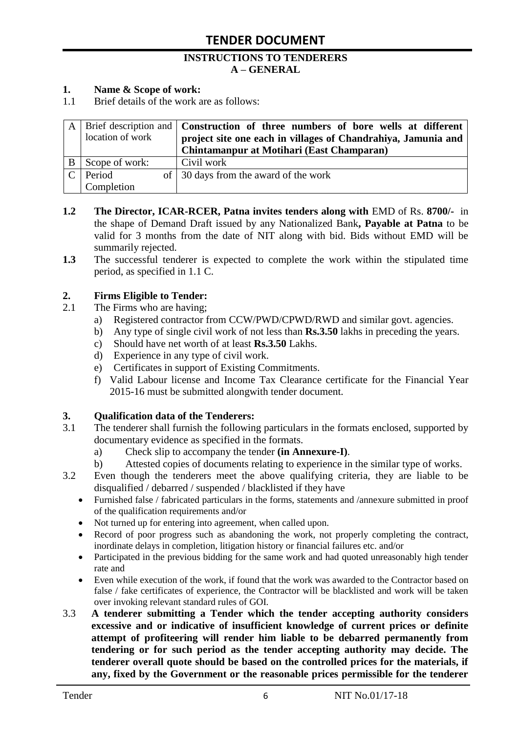#### **INSTRUCTIONS TO TENDERERS A – GENERAL**

#### **1. Name & Scope of work:**

1.1 Brief details of the work are as follows:

|               |                  | A   Brief description and   Construction of three numbers of bore wells at different |
|---------------|------------------|--------------------------------------------------------------------------------------|
|               | location of work | project site one each in villages of Chandrahiya, Jamunia and                        |
|               |                  | Chintamanpur at Motihari (East Champaran)                                            |
|               | Scope of work:   | Civil work                                                                           |
| $\mathcal{C}$ | Period           | of 30 days from the award of the work                                                |
|               | Completion       |                                                                                      |

- **1.2** The Director, ICAR-RCER, Patna invites tenders along with EMD of Rs. 8700/- in the shape of Demand Draft issued by any Nationalized Bank**, Payable at Patna** to be valid for 3 months from the date of NIT along with bid. Bids without EMD will be summarily rejected.
- **1.3** The successful tenderer is expected to complete the work within the stipulated time period, as specified in 1.1 C.

#### **2. Firms Eligible to Tender:**

- 2.1 The Firms who are having;
	- a) Registered contractor from CCW/PWD/CPWD/RWD and similar govt. agencies.
	- b) Any type of single civil work of not less than **Rs.3.50** lakhs in preceding the years.
	- c) Should have net worth of at least **Rs.3.50** Lakhs.
	- d) Experience in any type of civil work.
	- e) Certificates in support of Existing Commitments.
	- f) Valid Labour license and Income Tax Clearance certificate for the Financial Year 2015-16 must be submitted alongwith tender document.

#### **3. Qualification data of the Tenderers:**

- 3.1 The tenderer shall furnish the following particulars in the formats enclosed, supported by documentary evidence as specified in the formats.
	- a) Check slip to accompany the tender **(in Annexure-I)**.
	- b) Attested copies of documents relating to experience in the similar type of works.
- 3.2 Even though the tenderers meet the above qualifying criteria, they are liable to be disqualified / debarred / suspended / blacklisted if they have
	- Furnished false / fabricated particulars in the forms, statements and /annexure submitted in proof of the qualification requirements and/or
	- Not turned up for entering into agreement, when called upon.
	- Record of poor progress such as abandoning the work, not properly completing the contract, inordinate delays in completion, litigation history or financial failures etc. and/or
	- Participated in the previous bidding for the same work and had quoted unreasonably high tender rate and
	- Even while execution of the work, if found that the work was awarded to the Contractor based on false / fake certificates of experience, the Contractor will be blacklisted and work will be taken over invoking relevant standard rules of GOI.
- 3.3 **A tenderer submitting a Tender which the tender accepting authority considers excessive and or indicative of insufficient knowledge of current prices or definite attempt of profiteering will render him liable to be debarred permanently from tendering or for such period as the tender accepting authority may decide. The tenderer overall quote should be based on the controlled prices for the materials, if any, fixed by the Government or the reasonable prices permissible for the tenderer**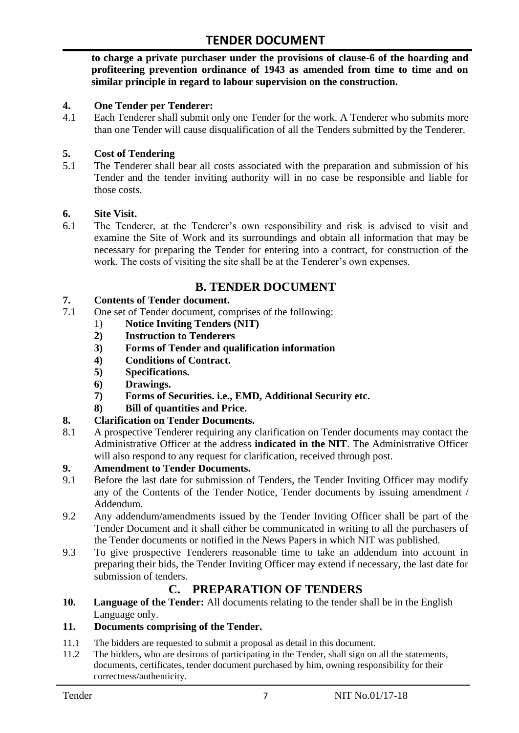**to charge a private purchaser under the provisions of clause-6 of the hoarding and profiteering prevention ordinance of 1943 as amended from time to time and on similar principle in regard to labour supervision on the construction.**

#### **4. One Tender per Tenderer:**

4.1 Each Tenderer shall submit only one Tender for the work. A Tenderer who submits more than one Tender will cause disqualification of all the Tenders submitted by the Tenderer.

#### **5. Cost of Tendering**

5.1 The Tenderer shall bear all costs associated with the preparation and submission of his Tender and the tender inviting authority will in no case be responsible and liable for those costs.

#### **6. Site Visit.**

6.1 The Tenderer, at the Tenderer"s own responsibility and risk is advised to visit and examine the Site of Work and its surroundings and obtain all information that may be necessary for preparing the Tender for entering into a contract, for construction of the work. The costs of visiting the site shall be at the Tenderer's own expenses.

### **B. TENDER DOCUMENT**

#### **7. Contents of Tender document.**

- 7.1 One set of Tender document, comprises of the following:
	- 1) **Notice Inviting Tenders (NIT)**
	- **2) Instruction to Tenderers**
	- **3) Forms of Tender and qualification information**
	- **4) Conditions of Contract.**
	- **5) Specifications.**
	- **6) Drawings.**
	- **7) Forms of Securities. i.e., EMD, Additional Security etc.**
	- **8) Bill of quantities and Price.**

#### **8. Clarification on Tender Documents.**

8.1 A prospective Tenderer requiring any clarification on Tender documents may contact the Administrative Officer at the address **indicated in the NIT**. The Administrative Officer will also respond to any request for clarification, received through post.

#### **9. Amendment to Tender Documents.**

- 9.1 Before the last date for submission of Tenders, the Tender Inviting Officer may modify any of the Contents of the Tender Notice, Tender documents by issuing amendment / Addendum.
- 9.2 Any addendum/amendments issued by the Tender Inviting Officer shall be part of the Tender Document and it shall either be communicated in writing to all the purchasers of the Tender documents or notified in the News Papers in which NIT was published.
- 9.3 To give prospective Tenderers reasonable time to take an addendum into account in preparing their bids, the Tender Inviting Officer may extend if necessary, the last date for submission of tenders.

# **C. PREPARATION OF TENDERS**

**10. Language of the Tender:** All documents relating to the tender shall be in the English Language only.

#### **11. Documents comprising of the Tender.**

- 11.1 The bidders are requested to submit a proposal as detail in this document.<br>11.2 The bidders, who are desirous of participating in the Tender, shall sign on
- The bidders, who are desirous of participating in the Tender, shall sign on all the statements, documents, certificates, tender document purchased by him, owning responsibility for their correctness/authenticity.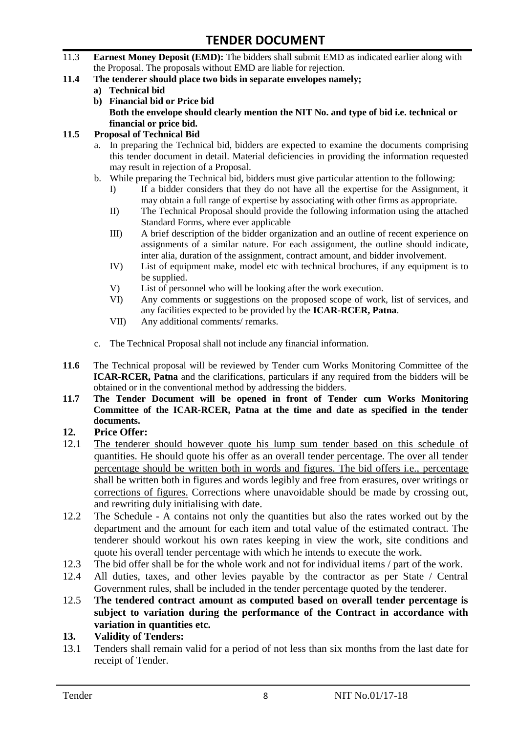- 11.3 **Earnest Money Deposit (EMD):** The bidders shall submit EMD as indicated earlier along with the Proposal. The proposals without EMD are liable for rejection.
- **11.4 The tenderer should place two bids in separate envelopes namely;**
	- **a) Technical bid**
	- **b) Financial bid or Price bid Both the envelope should clearly mention the NIT No. and type of bid i.e. technical or financial or price bid.**

#### **11.5 Proposal of Technical Bid**

- a. In preparing the Technical bid, bidders are expected to examine the documents comprising this tender document in detail. Material deficiencies in providing the information requested may result in rejection of a Proposal.
- b. While preparing the Technical bid, bidders must give particular attention to the following:
	- I) If a bidder considers that they do not have all the expertise for the Assignment, it may obtain a full range of expertise by associating with other firms as appropriate.
	- II) The Technical Proposal should provide the following information using the attached Standard Forms, where ever applicable
	- III) A brief description of the bidder organization and an outline of recent experience on assignments of a similar nature. For each assignment, the outline should indicate, inter alia, duration of the assignment, contract amount, and bidder involvement.
	- IV) List of equipment make, model etc with technical brochures, if any equipment is to be supplied.
	- V) List of personnel who will be looking after the work execution.
	- VI) Any comments or suggestions on the proposed scope of work, list of services, and any facilities expected to be provided by the **ICAR-RCER, Patna**.
	- VII) Any additional comments/ remarks.
- c. The Technical Proposal shall not include any financial information.
- **11.6** The Technical proposal will be reviewed by Tender cum Works Monitoring Committee of the **ICAR-RCER, Patna** and the clarifications, particulars if any required from the bidders will be obtained or in the conventional method by addressing the bidders.
- **11.7 The Tender Document will be opened in front of Tender cum Works Monitoring Committee of the ICAR-RCER, Patna at the time and date as specified in the tender documents.**

#### **12. Price Offer:**

- 12.1 The tenderer should however quote his lump sum tender based on this schedule of quantities. He should quote his offer as an overall tender percentage. The over all tender percentage should be written both in words and figures. The bid offers i.e., percentage shall be written both in figures and words legibly and free from erasures, over writings or corrections of figures. Corrections where unavoidable should be made by crossing out, and rewriting duly initialising with date.
- 12.2 The Schedule A contains not only the quantities but also the rates worked out by the department and the amount for each item and total value of the estimated contract. The tenderer should workout his own rates keeping in view the work, site conditions and quote his overall tender percentage with which he intends to execute the work.
- 12.3 The bid offer shall be for the whole work and not for individual items / part of the work.
- 12.4 All duties, taxes, and other levies payable by the contractor as per State / Central Government rules, shall be included in the tender percentage quoted by the tenderer.
- 12.5 **The tendered contract amount as computed based on overall tender percentage is subject to variation during the performance of the Contract in accordance with variation in quantities etc.**
- **13. Validity of Tenders:**
- 13.1 Tenders shall remain valid for a period of not less than six months from the last date for receipt of Tender.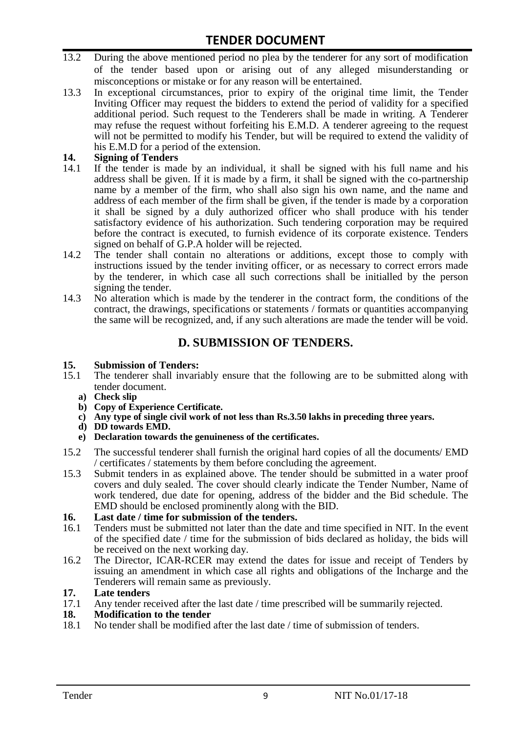- 13.2 During the above mentioned period no plea by the tenderer for any sort of modification of the tender based upon or arising out of any alleged misunderstanding or misconceptions or mistake or for any reason will be entertained.
- 13.3 In exceptional circumstances, prior to expiry of the original time limit, the Tender Inviting Officer may request the bidders to extend the period of validity for a specified additional period. Such request to the Tenderers shall be made in writing. A Tenderer may refuse the request without forfeiting his E.M.D. A tenderer agreeing to the request will not be permitted to modify his Tender, but will be required to extend the validity of his E.M.D for a period of the extension.

# 14. **Signing of Tenders**<br>14.1 If the tender is mag

- If the tender is made by an individual, it shall be signed with his full name and his address shall be given. If it is made by a firm, it shall be signed with the co-partnership name by a member of the firm, who shall also sign his own name, and the name and address of each member of the firm shall be given, if the tender is made by a corporation it shall be signed by a duly authorized officer who shall produce with his tender satisfactory evidence of his authorization. Such tendering corporation may be required before the contract is executed, to furnish evidence of its corporate existence. Tenders signed on behalf of G.P.A holder will be rejected.
- 14.2 The tender shall contain no alterations or additions, except those to comply with instructions issued by the tender inviting officer, or as necessary to correct errors made by the tenderer, in which case all such corrections shall be initialled by the person signing the tender.
- 14.3 No alteration which is made by the tenderer in the contract form, the conditions of the contract, the drawings, specifications or statements / formats or quantities accompanying the same will be recognized, and, if any such alterations are made the tender will be void.

# **D. SUBMISSION OF TENDERS.**

#### **15. Submission of Tenders:**

- 15.1 The tenderer shall invariably ensure that the following are to be submitted along with tender document.
	- **a) Check slip**
	- **b) Copy of Experience Certificate.**
	- **c) Any type of single civil work of not less than Rs.3.50 lakhs in preceding three years.**
	- **d) DD towards EMD.**
	- **e) Declaration towards the genuineness of the certificates.**
- 15.2 The successful tenderer shall furnish the original hard copies of all the documents/ EMD / certificates / statements by them before concluding the agreement.
- 15.3 Submit tenders in as explained above. The tender should be submitted in a water proof covers and duly sealed. The cover should clearly indicate the Tender Number, Name of work tendered, due date for opening, address of the bidder and the Bid schedule. The EMD should be enclosed prominently along with the BID.

# **16. Last date / time for submission of the tenders.**

- Tenders must be submitted not later than the date and time specified in NIT. In the event of the specified date / time for the submission of bids declared as holiday, the bids will be received on the next working day.
- 16.2 The Director, ICAR-RCER may extend the dates for issue and receipt of Tenders by issuing an amendment in which case all rights and obligations of the Incharge and the Tenderers will remain same as previously.

#### **17. Late tenders**

17.1 Any tender received after the last date / time prescribed will be summarily rejected.<br>18. Modification to the tender

# **18. Modification to the tender**<br>18.1 No tender shall be modified

No tender shall be modified after the last date / time of submission of tenders.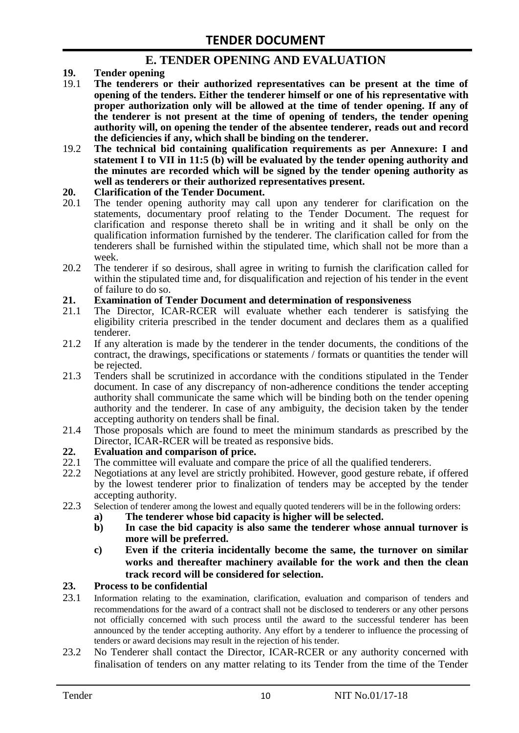### **E. TENDER OPENING AND EVALUATION**

- **19. Tender opening**
- 19.1 **The tenderers or their authorized representatives can be present at the time of opening of the tenders. Either the tenderer himself or one of his representative with proper authorization only will be allowed at the time of tender opening. If any of the tenderer is not present at the time of opening of tenders, the tender opening authority will, on opening the tender of the absentee tenderer, reads out and record the deficiencies if any, which shall be binding on the tenderer.**
- 19.2 **The technical bid containing qualification requirements as per Annexure: I and statement I to VII in 11:5 (b) will be evaluated by the tender opening authority and the minutes are recorded which will be signed by the tender opening authority as well as tenderers or their authorized representatives present.**

#### **20. Clarification of the Tender Document.**

- 20.1 The tender opening authority may call upon any tenderer for clarification on the statements, documentary proof relating to the Tender Document. The request for clarification and response thereto shall be in writing and it shall be only on the qualification information furnished by the tenderer. The clarification called for from the tenderers shall be furnished within the stipulated time, which shall not be more than a week.
- 20.2 The tenderer if so desirous, shall agree in writing to furnish the clarification called for within the stipulated time and, for disqualification and rejection of his tender in the event of failure to do so.

# **21. Examination of Tender Document and determination of responsiveness**

- 21.1 The Director, ICAR-RCER will evaluate whether each tenderer is satisfying the eligibility criteria prescribed in the tender document and declares them as a qualified tenderer.
- 21.2 If any alteration is made by the tenderer in the tender documents, the conditions of the contract, the drawings, specifications or statements / formats or quantities the tender will be rejected.
- 21.3 Tenders shall be scrutinized in accordance with the conditions stipulated in the Tender document. In case of any discrepancy of non-adherence conditions the tender accepting authority shall communicate the same which will be binding both on the tender opening authority and the tenderer. In case of any ambiguity, the decision taken by the tender accepting authority on tenders shall be final.
- 21.4 Those proposals which are found to meet the minimum standards as prescribed by the Director, ICAR-RCER will be treated as responsive bids.

# **22. Evaluation and comparison of price.**

- The committee will evaluate and compare the price of all the qualified tenderers.
- 22.2 Negotiations at any level are strictly prohibited. However, good gesture rebate, if offered by the lowest tenderer prior to finalization of tenders may be accepted by the tender accepting authority.
- 22.3 Selection of tenderer among the lowest and equally quoted tenderers will be in the following orders:
	- **a) The tenderer whose bid capacity is higher will be selected.**
	- **b) In case the bid capacity is also same the tenderer whose annual turnover is more will be preferred.**
	- **c) Even if the criteria incidentally become the same, the turnover on similar works and thereafter machinery available for the work and then the clean track record will be considered for selection.**

#### **23. Process to be confidential**

- 23.1 Information relating to the examination, clarification, evaluation and comparison of tenders and recommendations for the award of a contract shall not be disclosed to tenderers or any other persons not officially concerned with such process until the award to the successful tenderer has been announced by the tender accepting authority. Any effort by a tenderer to influence the processing of tenders or award decisions may result in the rejection of his tender.
- 23.2 No Tenderer shall contact the Director, ICAR-RCER or any authority concerned with finalisation of tenders on any matter relating to its Tender from the time of the Tender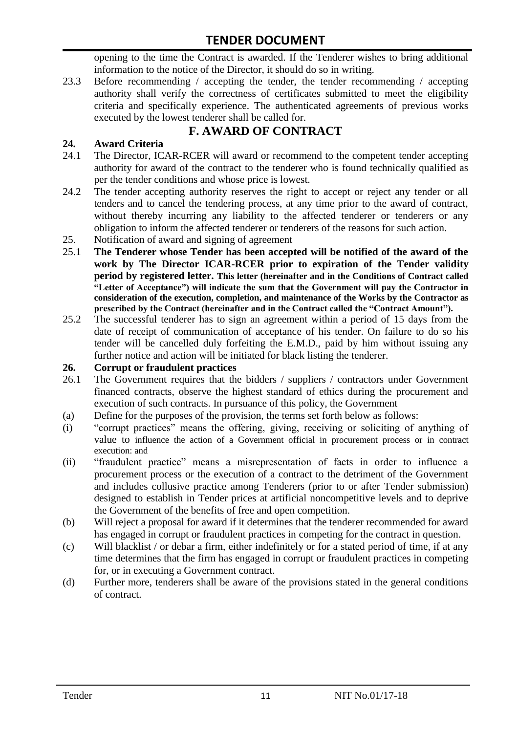opening to the time the Contract is awarded. If the Tenderer wishes to bring additional information to the notice of the Director, it should do so in writing.

23.3 Before recommending / accepting the tender, the tender recommending / accepting authority shall verify the correctness of certificates submitted to meet the eligibility criteria and specifically experience. The authenticated agreements of previous works executed by the lowest tenderer shall be called for.

# **F. AWARD OF CONTRACT**

### **24. Award Criteria**

- 24.1 The Director, ICAR-RCER will award or recommend to the competent tender accepting authority for award of the contract to the tenderer who is found technically qualified as per the tender conditions and whose price is lowest.
- 24.2 The tender accepting authority reserves the right to accept or reject any tender or all tenders and to cancel the tendering process, at any time prior to the award of contract, without thereby incurring any liability to the affected tenderer or tenderers or any obligation to inform the affected tenderer or tenderers of the reasons for such action.
- 25. Notification of award and signing of agreement
- 25.1 **The Tenderer whose Tender has been accepted will be notified of the award of the work by The Director ICAR-RCER prior to expiration of the Tender validity period by registered letter. This letter (hereinafter and in the Conditions of Contract called "Letter of Acceptance") will indicate the sum that the Government will pay the Contractor in consideration of the execution, completion, and maintenance of the Works by the Contractor as prescribed by the Contract (hereinafter and in the Contract called the "Contract Amount").**
- 25.2 The successful tenderer has to sign an agreement within a period of 15 days from the date of receipt of communication of acceptance of his tender. On failure to do so his tender will be cancelled duly forfeiting the E.M.D., paid by him without issuing any further notice and action will be initiated for black listing the tenderer.

#### **26. Corrupt or fraudulent practices**

- 26.1 The Government requires that the bidders / suppliers / contractors under Government financed contracts, observe the highest standard of ethics during the procurement and execution of such contracts. In pursuance of this policy, the Government
- (a) Define for the purposes of the provision, the terms set forth below as follows:
- (i) "corrupt practices" means the offering, giving, receiving or soliciting of anything of value to influence the action of a Government official in procurement process or in contract execution: and
- (ii) "fraudulent practice" means a misrepresentation of facts in order to influence a procurement process or the execution of a contract to the detriment of the Government and includes collusive practice among Tenderers (prior to or after Tender submission) designed to establish in Tender prices at artificial noncompetitive levels and to deprive the Government of the benefits of free and open competition.
- (b) Will reject a proposal for award if it determines that the tenderer recommended for award has engaged in corrupt or fraudulent practices in competing for the contract in question.
- (c) Will blacklist / or debar a firm, either indefinitely or for a stated period of time, if at any time determines that the firm has engaged in corrupt or fraudulent practices in competing for, or in executing a Government contract.
- (d) Further more, tenderers shall be aware of the provisions stated in the general conditions of contract.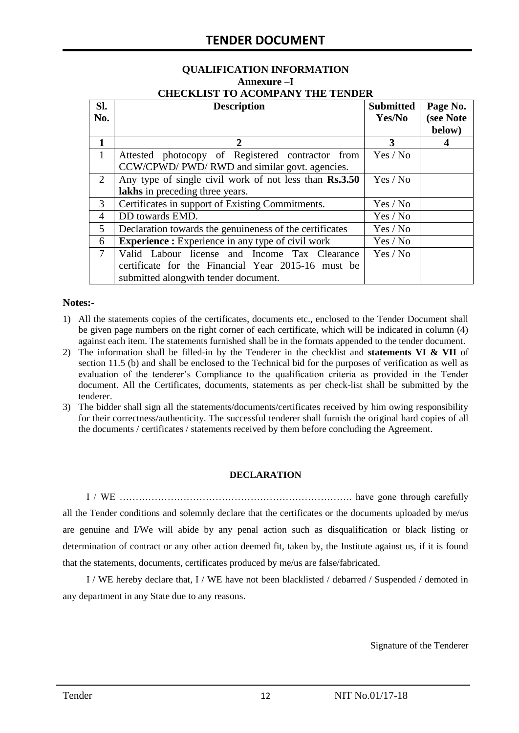#### **QUALIFICATION INFORMATION Annexure –I CHECKLIST TO ACOMPANY THE TENDER**

| Sl.<br>No.     | <b>Description</b>                                                                                                                          | <b>Submitted</b><br>Yes/No | Page No.<br>(see Note<br>below) |
|----------------|---------------------------------------------------------------------------------------------------------------------------------------------|----------------------------|---------------------------------|
| $\mathbf{1}$   | $\mathcal{D}_{\cdot}$                                                                                                                       | 3                          |                                 |
| $\mathbf{1}$   | Attested photocopy of Registered contractor from<br>CCW/CPWD/ PWD/ RWD and similar govt. agencies.                                          | Yes / No                   |                                 |
| 2              | Any type of single civil work of not less than Rs.3.50<br>lakhs in preceding three years.                                                   | Yes / No                   |                                 |
| 3              | Certificates in support of Existing Commitments.                                                                                            | Yes / No                   |                                 |
| 4              | DD towards EMD.                                                                                                                             | Yes / No                   |                                 |
| 5              | Declaration towards the genuineness of the certificates<br>Yes / No                                                                         |                            |                                 |
| 6              | <b>Experience :</b> Experience in any type of civil work<br>Yes / No                                                                        |                            |                                 |
| $\overline{7}$ | Valid Labour license and Income Tax Clearance<br>certificate for the Financial Year 2015-16 must be<br>submitted alongwith tender document. | Yes / No                   |                                 |

#### **Notes:-**

- 1) All the statements copies of the certificates, documents etc., enclosed to the Tender Document shall be given page numbers on the right corner of each certificate, which will be indicated in column (4) against each item. The statements furnished shall be in the formats appended to the tender document.
- 2) The information shall be filled-in by the Tenderer in the checklist and **statements VI & VII** of section 11.5 (b) and shall be enclosed to the Technical bid for the purposes of verification as well as evaluation of the tenderer"s Compliance to the qualification criteria as provided in the Tender document. All the Certificates, documents, statements as per check-list shall be submitted by the tenderer.
- 3) The bidder shall sign all the statements/documents/certificates received by him owing responsibility for their correctness/authenticity. The successful tenderer shall furnish the original hard copies of all the documents / certificates / statements received by them before concluding the Agreement.

#### **DECLARATION**

I / WE ………………………………………………………………. have gone through carefully all the Tender conditions and solemnly declare that the certificates or the documents uploaded by me/us are genuine and I/We will abide by any penal action such as disqualification or black listing or determination of contract or any other action deemed fit, taken by, the Institute against us, if it is found that the statements, documents, certificates produced by me/us are false/fabricated.

I / WE hereby declare that, I / WE have not been blacklisted / debarred / Suspended / demoted in any department in any State due to any reasons.

Signature of the Tenderer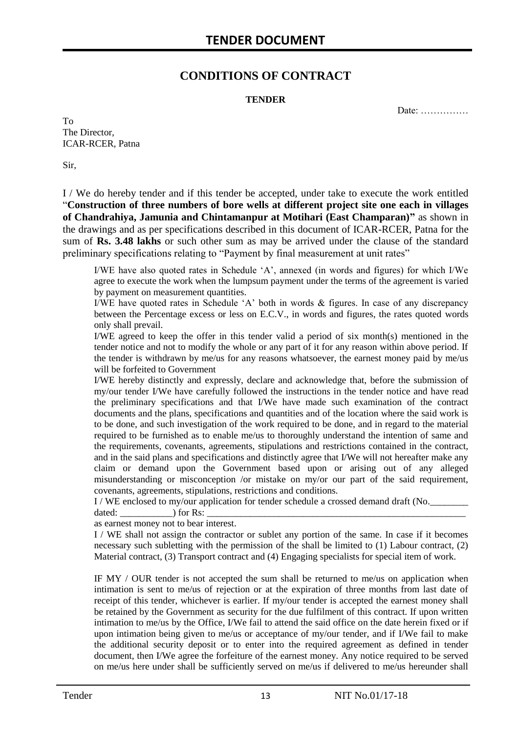### **CONDITIONS OF CONTRACT**

#### **TENDER**

Date: ……………

To The Director, ICAR-RCER, Patna

Sir,

I / We do hereby tender and if this tender be accepted, under take to execute the work entitled "**Construction of three numbers of bore wells at different project site one each in villages of Chandrahiya, Jamunia and Chintamanpur at Motihari (East Champaran)"** as shown in the drawings and as per specifications described in this document of ICAR-RCER, Patna for the sum of **Rs. 3.48 lakhs** or such other sum as may be arrived under the clause of the standard preliminary specifications relating to "Payment by final measurement at unit rates"

I/WE have also quoted rates in Schedule "A", annexed (in words and figures) for which I/We agree to execute the work when the lumpsum payment under the terms of the agreement is varied by payment on measurement quantities.

I/WE have quoted rates in Schedule "A" both in words & figures. In case of any discrepancy between the Percentage excess or less on E.C.V., in words and figures, the rates quoted words only shall prevail.

I/WE agreed to keep the offer in this tender valid a period of six month(s) mentioned in the tender notice and not to modify the whole or any part of it for any reason within above period. If the tender is withdrawn by me/us for any reasons whatsoever, the earnest money paid by me/us will be forfeited to Government

I/WE hereby distinctly and expressly, declare and acknowledge that, before the submission of my/our tender I/We have carefully followed the instructions in the tender notice and have read the preliminary specifications and that I/We have made such examination of the contract documents and the plans, specifications and quantities and of the location where the said work is to be done, and such investigation of the work required to be done, and in regard to the material required to be furnished as to enable me/us to thoroughly understand the intention of same and the requirements, covenants, agreements, stipulations and restrictions contained in the contract, and in the said plans and specifications and distinctly agree that I/We will not hereafter make any claim or demand upon the Government based upon or arising out of any alleged misunderstanding or misconception /or mistake on my/or our part of the said requirement, covenants, agreements, stipulations, restrictions and conditions.

I / WE enclosed to my/our application for tender schedule a crossed demand draft (No.

dated:  $\qquad \qquad$  ) for Rs:

as earnest money not to bear interest.

I / WE shall not assign the contractor or sublet any portion of the same. In case if it becomes necessary such subletting with the permission of the shall be limited to (1) Labour contract, (2) Material contract, (3) Transport contract and (4) Engaging specialists for special item of work.

IF MY / OUR tender is not accepted the sum shall be returned to me/us on application when intimation is sent to me/us of rejection or at the expiration of three months from last date of receipt of this tender, whichever is earlier. If my/our tender is accepted the earnest money shall be retained by the Government as security for the due fulfilment of this contract. If upon written intimation to me/us by the Office, I/We fail to attend the said office on the date herein fixed or if upon intimation being given to me/us or acceptance of my/our tender, and if I/We fail to make the additional security deposit or to enter into the required agreement as defined in tender document, then I/We agree the forfeiture of the earnest money. Any notice required to be served on me/us here under shall be sufficiently served on me/us if delivered to me/us hereunder shall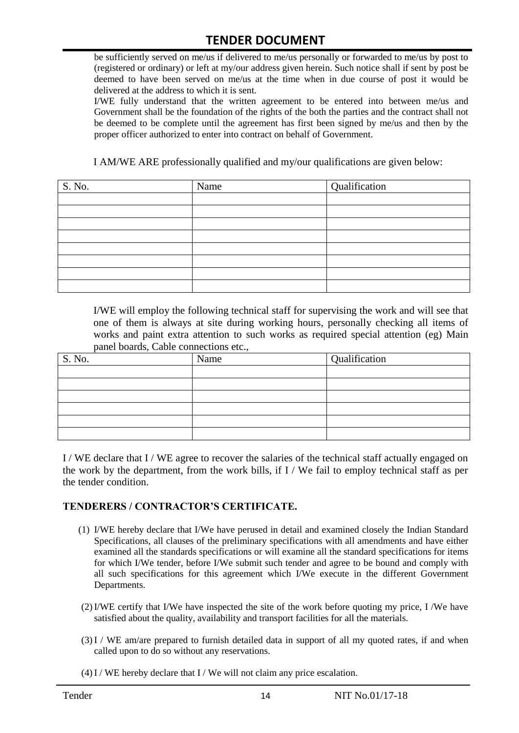be sufficiently served on me/us if delivered to me/us personally or forwarded to me/us by post to (registered or ordinary) or left at my/our address given herein. Such notice shall if sent by post be deemed to have been served on me/us at the time when in due course of post it would be delivered at the address to which it is sent.

I/WE fully understand that the written agreement to be entered into between me/us and Government shall be the foundation of the rights of the both the parties and the contract shall not be deemed to be complete until the agreement has first been signed by me/us and then by the proper officer authorized to enter into contract on behalf of Government.

I AM/WE ARE professionally qualified and my/our qualifications are given below:

| S. No. | Name | Qualification |
|--------|------|---------------|
|        |      |               |
|        |      |               |
|        |      |               |
|        |      |               |
|        |      |               |
|        |      |               |
|        |      |               |
|        |      |               |

I/WE will employ the following technical staff for supervising the work and will see that one of them is always at site during working hours, personally checking all items of works and paint extra attention to such works as required special attention (eg) Main panel boards, Cable connections etc.,

| S. No. | Name | Qualification |
|--------|------|---------------|
|        |      |               |
|        |      |               |
|        |      |               |
|        |      |               |
|        |      |               |
|        |      |               |

I / WE declare that I / WE agree to recover the salaries of the technical staff actually engaged on the work by the department, from the work bills, if I / We fail to employ technical staff as per the tender condition.

#### **TENDERERS / CONTRACTOR'S CERTIFICATE.**

- (1) I/WE hereby declare that I/We have perused in detail and examined closely the Indian Standard Specifications, all clauses of the preliminary specifications with all amendments and have either examined all the standards specifications or will examine all the standard specifications for items for which I/We tender, before I/We submit such tender and agree to be bound and comply with all such specifications for this agreement which I/We execute in the different Government Departments.
- (2)I/WE certify that I/We have inspected the site of the work before quoting my price, I /We have satisfied about the quality, availability and transport facilities for all the materials.
- (3)I / WE am/are prepared to furnish detailed data in support of all my quoted rates, if and when called upon to do so without any reservations.
- $(4)$  I / WE hereby declare that I / We will not claim any price escalation.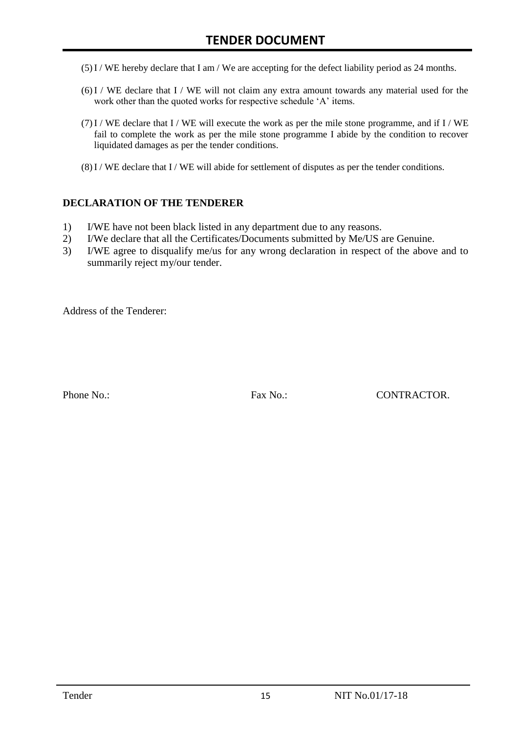- (5)I / WE hereby declare that I am / We are accepting for the defect liability period as 24 months.
- (6)I / WE declare that I / WE will not claim any extra amount towards any material used for the work other than the quoted works for respective schedule 'A' items.
- $(7)$ I / WE declare that I / WE will execute the work as per the mile stone programme, and if I / WE fail to complete the work as per the mile stone programme I abide by the condition to recover liquidated damages as per the tender conditions.
- $(8)$  I / WE declare that I / WE will abide for settlement of disputes as per the tender conditions.

#### **DECLARATION OF THE TENDERER**

- 1) I/WE have not been black listed in any department due to any reasons.
- 2) I/We declare that all the Certificates/Documents submitted by Me/US are Genuine.
- 3) I/WE agree to disqualify me/us for any wrong declaration in respect of the above and to summarily reject my/our tender.

Address of the Tenderer:

Phone No.: Fax No.: CONTRACTOR.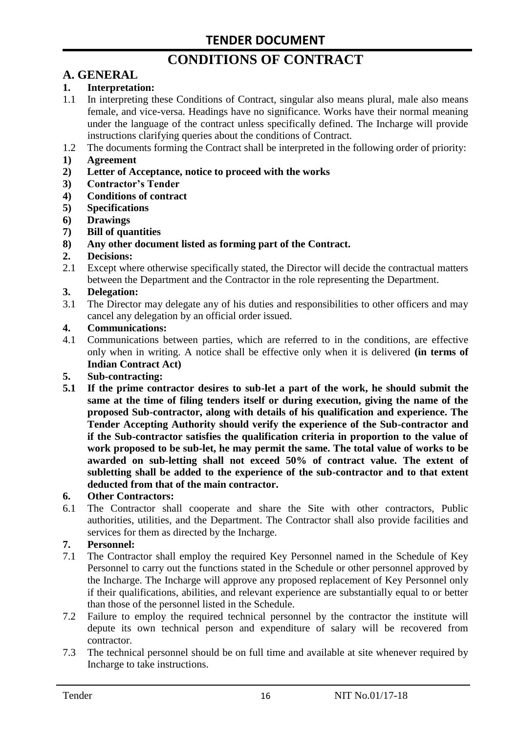# **CONDITIONS OF CONTRACT**

# **A. GENERAL**

#### **1. Interpretation:**

- 1.1 In interpreting these Conditions of Contract, singular also means plural, male also means female, and vice-versa. Headings have no significance. Works have their normal meaning under the language of the contract unless specifically defined. The Incharge will provide instructions clarifying queries about the conditions of Contract.
- 1.2 The documents forming the Contract shall be interpreted in the following order of priority:
- **1) Agreement**
- **2) Letter of Acceptance, notice to proceed with the works**
- **3) Contractor's Tender**
- **4) Conditions of contract**
- **5) Specifications**
- **6) Drawings**
- **7) Bill of quantities**
- **8) Any other document listed as forming part of the Contract.**

#### **2. Decisions:**

2.1 Except where otherwise specifically stated, the Director will decide the contractual matters between the Department and the Contractor in the role representing the Department.

#### **3. Delegation:**

3.1 The Director may delegate any of his duties and responsibilities to other officers and may cancel any delegation by an official order issued.

#### **4. Communications:**

4.1 Communications between parties, which are referred to in the conditions, are effective only when in writing. A notice shall be effective only when it is delivered **(in terms of Indian Contract Act)**

#### **5. Sub-contracting:**

**5.1 If the prime contractor desires to sub-let a part of the work, he should submit the same at the time of filing tenders itself or during execution, giving the name of the proposed Sub-contractor, along with details of his qualification and experience. The Tender Accepting Authority should verify the experience of the Sub-contractor and if the Sub-contractor satisfies the qualification criteria in proportion to the value of work proposed to be sub-let, he may permit the same. The total value of works to be awarded on sub-letting shall not exceed 50% of contract value. The extent of subletting shall be added to the experience of the sub-contractor and to that extent deducted from that of the main contractor.**

#### **6. Other Contractors:**

6.1 The Contractor shall cooperate and share the Site with other contractors, Public authorities, utilities, and the Department. The Contractor shall also provide facilities and services for them as directed by the Incharge.

#### **7. Personnel:**

- 7.1 The Contractor shall employ the required Key Personnel named in the Schedule of Key Personnel to carry out the functions stated in the Schedule or other personnel approved by the Incharge. The Incharge will approve any proposed replacement of Key Personnel only if their qualifications, abilities, and relevant experience are substantially equal to or better than those of the personnel listed in the Schedule.
- 7.2 Failure to employ the required technical personnel by the contractor the institute will depute its own technical person and expenditure of salary will be recovered from contractor.
- 7.3 The technical personnel should be on full time and available at site whenever required by Incharge to take instructions.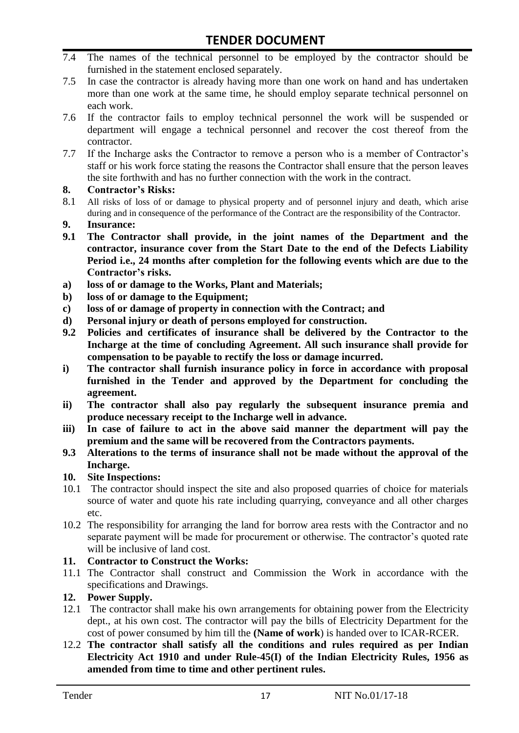- 7.4 The names of the technical personnel to be employed by the contractor should be furnished in the statement enclosed separately.
- 7.5 In case the contractor is already having more than one work on hand and has undertaken more than one work at the same time, he should employ separate technical personnel on each work.
- 7.6 If the contractor fails to employ technical personnel the work will be suspended or department will engage a technical personnel and recover the cost thereof from the contractor.
- 7.7 If the Incharge asks the Contractor to remove a person who is a member of Contractor"s staff or his work force stating the reasons the Contractor shall ensure that the person leaves the site forthwith and has no further connection with the work in the contract.

#### **8. Contractor's Risks:**

- 8.1 All risks of loss of or damage to physical property and of personnel injury and death, which arise during and in consequence of the performance of the Contract are the responsibility of the Contractor.
- **9. Insurance:**
- **9.1 The Contractor shall provide, in the joint names of the Department and the contractor, insurance cover from the Start Date to the end of the Defects Liability Period i.e., 24 months after completion for the following events which are due to the Contractor's risks.**
- **a) loss of or damage to the Works, Plant and Materials;**
- **b) loss of or damage to the Equipment;**
- **c) loss of or damage of property in connection with the Contract; and**
- **d) Personal injury or death of persons employed for construction.**
- **9.2 Policies and certificates of insurance shall be delivered by the Contractor to the Incharge at the time of concluding Agreement. All such insurance shall provide for compensation to be payable to rectify the loss or damage incurred.**
- **i) The contractor shall furnish insurance policy in force in accordance with proposal furnished in the Tender and approved by the Department for concluding the agreement.**
- **ii) The contractor shall also pay regularly the subsequent insurance premia and produce necessary receipt to the Incharge well in advance.**
- **iii) In case of failure to act in the above said manner the department will pay the premium and the same will be recovered from the Contractors payments.**
- **9.3 Alterations to the terms of insurance shall not be made without the approval of the Incharge.**

#### **10. Site Inspections:**

- 10.1 The contractor should inspect the site and also proposed quarries of choice for materials source of water and quote his rate including quarrying, conveyance and all other charges etc.
- 10.2 The responsibility for arranging the land for borrow area rests with the Contractor and no separate payment will be made for procurement or otherwise. The contractor's quoted rate will be inclusive of land cost.

#### **11. Contractor to Construct the Works:**

11.1 The Contractor shall construct and Commission the Work in accordance with the specifications and Drawings.

#### **12. Power Supply.**

- 12.1 The contractor shall make his own arrangements for obtaining power from the Electricity dept., at his own cost. The contractor will pay the bills of Electricity Department for the cost of power consumed by him till the **(Name of work**) is handed over to ICAR-RCER.
- 12.2 **The contractor shall satisfy all the conditions and rules required as per Indian Electricity Act 1910 and under Rule-45(I) of the Indian Electricity Rules, 1956 as amended from time to time and other pertinent rules.**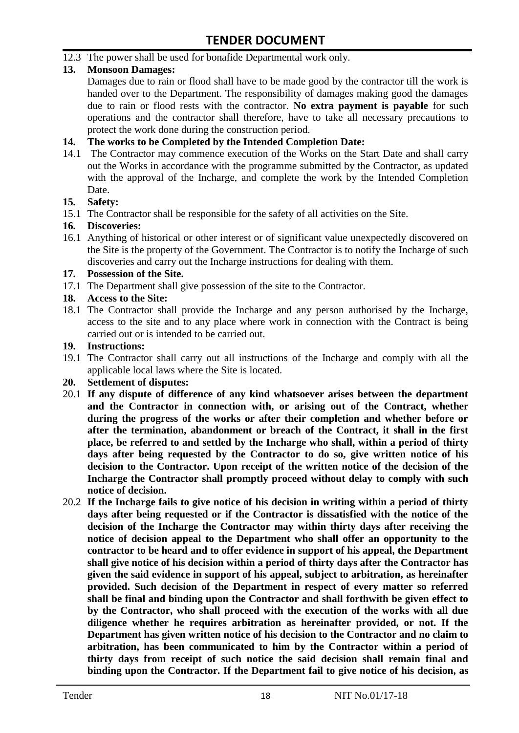12.3 The power shall be used for bonafide Departmental work only.

#### **13. Monsoon Damages:**

Damages due to rain or flood shall have to be made good by the contractor till the work is handed over to the Department. The responsibility of damages making good the damages due to rain or flood rests with the contractor. **No extra payment is payable** for such operations and the contractor shall therefore, have to take all necessary precautions to protect the work done during the construction period.

#### **14. The works to be Completed by the Intended Completion Date:**

14.1 The Contractor may commence execution of the Works on the Start Date and shall carry out the Works in accordance with the programme submitted by the Contractor, as updated with the approval of the Incharge, and complete the work by the Intended Completion Date.

#### **15. Safety:**

15.1 The Contractor shall be responsible for the safety of all activities on the Site.

#### **16. Discoveries:**

16.1 Anything of historical or other interest or of significant value unexpectedly discovered on the Site is the property of the Government. The Contractor is to notify the Incharge of such discoveries and carry out the Incharge instructions for dealing with them.

#### **17. Possession of the Site.**

17.1 The Department shall give possession of the site to the Contractor.

#### **18. Access to the Site:**

18.1 The Contractor shall provide the Incharge and any person authorised by the Incharge, access to the site and to any place where work in connection with the Contract is being carried out or is intended to be carried out.

#### **19. Instructions:**

- 19.1 The Contractor shall carry out all instructions of the Incharge and comply with all the applicable local laws where the Site is located.
- **20. Settlement of disputes:**
- 20.1 **If any dispute of difference of any kind whatsoever arises between the department and the Contractor in connection with, or arising out of the Contract, whether during the progress of the works or after their completion and whether before or after the termination, abandonment or breach of the Contract, it shall in the first place, be referred to and settled by the Incharge who shall, within a period of thirty days after being requested by the Contractor to do so, give written notice of his decision to the Contractor. Upon receipt of the written notice of the decision of the Incharge the Contractor shall promptly proceed without delay to comply with such notice of decision.**
- 20.2 **If the Incharge fails to give notice of his decision in writing within a period of thirty days after being requested or if the Contractor is dissatisfied with the notice of the decision of the Incharge the Contractor may within thirty days after receiving the notice of decision appeal to the Department who shall offer an opportunity to the contractor to be heard and to offer evidence in support of his appeal, the Department shall give notice of his decision within a period of thirty days after the Contractor has given the said evidence in support of his appeal, subject to arbitration, as hereinafter provided. Such decision of the Department in respect of every matter so referred shall be final and binding upon the Contractor and shall forthwith be given effect to by the Contractor, who shall proceed with the execution of the works with all due diligence whether he requires arbitration as hereinafter provided, or not. If the Department has given written notice of his decision to the Contractor and no claim to arbitration, has been communicated to him by the Contractor within a period of thirty days from receipt of such notice the said decision shall remain final and binding upon the Contractor. If the Department fail to give notice of his decision, as**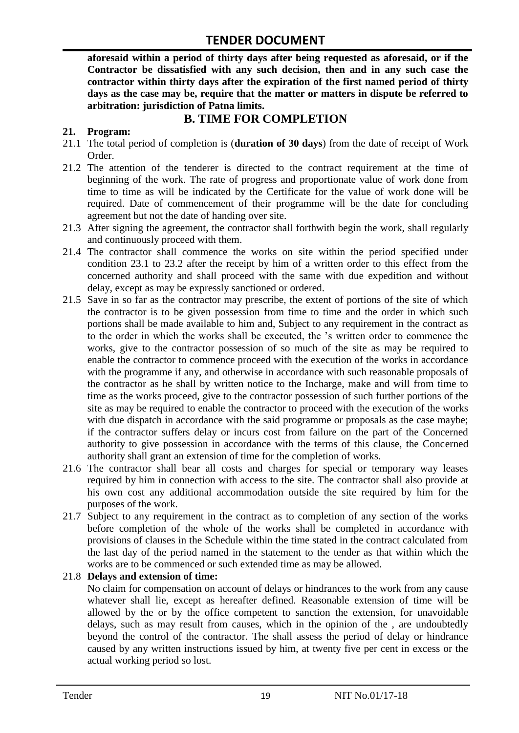**aforesaid within a period of thirty days after being requested as aforesaid, or if the Contractor be dissatisfied with any such decision, then and in any such case the contractor within thirty days after the expiration of the first named period of thirty days as the case may be, require that the matter or matters in dispute be referred to arbitration: jurisdiction of Patna limits.**

### **B. TIME FOR COMPLETION**

#### **21. Program:**

- 21.1 The total period of completion is (**duration of 30 days**) from the date of receipt of Work Order.
- 21.2 The attention of the tenderer is directed to the contract requirement at the time of beginning of the work. The rate of progress and proportionate value of work done from time to time as will be indicated by the Certificate for the value of work done will be required. Date of commencement of their programme will be the date for concluding agreement but not the date of handing over site.
- 21.3 After signing the agreement, the contractor shall forthwith begin the work, shall regularly and continuously proceed with them.
- 21.4 The contractor shall commence the works on site within the period specified under condition 23.1 to 23.2 after the receipt by him of a written order to this effect from the concerned authority and shall proceed with the same with due expedition and without delay, except as may be expressly sanctioned or ordered.
- 21.5 Save in so far as the contractor may prescribe, the extent of portions of the site of which the contractor is to be given possession from time to time and the order in which such portions shall be made available to him and, Subject to any requirement in the contract as to the order in which the works shall be executed, the "s written order to commence the works, give to the contractor possession of so much of the site as may be required to enable the contractor to commence proceed with the execution of the works in accordance with the programme if any, and otherwise in accordance with such reasonable proposals of the contractor as he shall by written notice to the Incharge, make and will from time to time as the works proceed, give to the contractor possession of such further portions of the site as may be required to enable the contractor to proceed with the execution of the works with due dispatch in accordance with the said programme or proposals as the case maybe; if the contractor suffers delay or incurs cost from failure on the part of the Concerned authority to give possession in accordance with the terms of this clause, the Concerned authority shall grant an extension of time for the completion of works.
- 21.6 The contractor shall bear all costs and charges for special or temporary way leases required by him in connection with access to the site. The contractor shall also provide at his own cost any additional accommodation outside the site required by him for the purposes of the work.
- 21.7 Subject to any requirement in the contract as to completion of any section of the works before completion of the whole of the works shall be completed in accordance with provisions of clauses in the Schedule within the time stated in the contract calculated from the last day of the period named in the statement to the tender as that within which the works are to be commenced or such extended time as may be allowed.

#### 21.8 **Delays and extension of time:**

No claim for compensation on account of delays or hindrances to the work from any cause whatever shall lie, except as hereafter defined. Reasonable extension of time will be allowed by the or by the office competent to sanction the extension, for unavoidable delays, such as may result from causes, which in the opinion of the , are undoubtedly beyond the control of the contractor. The shall assess the period of delay or hindrance caused by any written instructions issued by him, at twenty five per cent in excess or the actual working period so lost.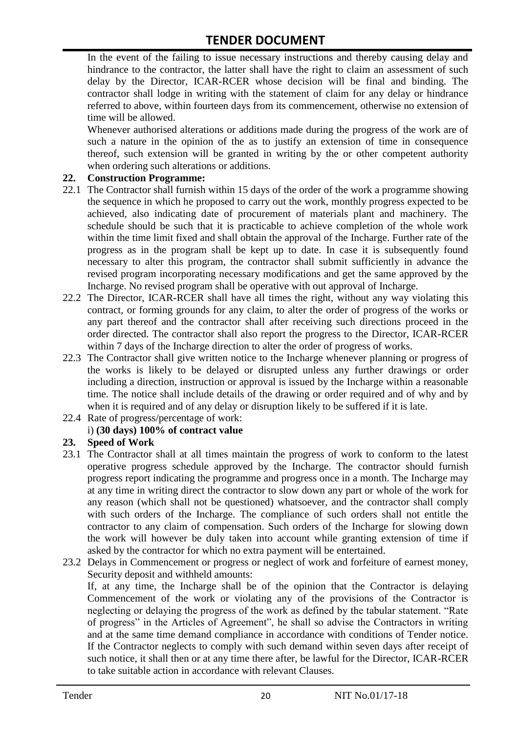In the event of the failing to issue necessary instructions and thereby causing delay and hindrance to the contractor, the latter shall have the right to claim an assessment of such delay by the Director, ICAR-RCER whose decision will be final and binding. The contractor shall lodge in writing with the statement of claim for any delay or hindrance referred to above, within fourteen days from its commencement, otherwise no extension of time will be allowed.

Whenever authorised alterations or additions made during the progress of the work are of such a nature in the opinion of the as to justify an extension of time in consequence thereof, such extension will be granted in writing by the or other competent authority when ordering such alterations or additions.

#### **22. Construction Programme:**

- 22.1 The Contractor shall furnish within 15 days of the order of the work a programme showing the sequence in which he proposed to carry out the work, monthly progress expected to be achieved, also indicating date of procurement of materials plant and machinery. The schedule should be such that it is practicable to achieve completion of the whole work within the time limit fixed and shall obtain the approval of the Incharge. Further rate of the progress as in the program shall be kept up to date. In case it is subsequently found necessary to alter this program, the contractor shall submit sufficiently in advance the revised program incorporating necessary modifications and get the same approved by the Incharge. No revised program shall be operative with out approval of Incharge.
- 22.2 The Director, ICAR-RCER shall have all times the right, without any way violating this contract, or forming grounds for any claim, to alter the order of progress of the works or any part thereof and the contractor shall after receiving such directions proceed in the order directed. The contractor shall also report the progress to the Director, ICAR-RCER within 7 days of the Incharge direction to alter the order of progress of works.
- 22.3 The Contractor shall give written notice to the Incharge whenever planning or progress of the works is likely to be delayed or disrupted unless any further drawings or order including a direction, instruction or approval is issued by the Incharge within a reasonable time. The notice shall include details of the drawing or order required and of why and by when it is required and of any delay or disruption likely to be suffered if it is late.
- 22.4 Rate of progress/percentage of work:

#### i) **(30 days) 100% of contract value**

#### **23. Speed of Work**

- 23.1 The Contractor shall at all times maintain the progress of work to conform to the latest operative progress schedule approved by the Incharge. The contractor should furnish progress report indicating the programme and progress once in a month. The Incharge may at any time in writing direct the contractor to slow down any part or whole of the work for any reason (which shall not be questioned) whatsoever, and the contractor shall comply with such orders of the Incharge. The compliance of such orders shall not entitle the contractor to any claim of compensation. Such orders of the Incharge for slowing down the work will however be duly taken into account while granting extension of time if asked by the contractor for which no extra payment will be entertained.
- 23.2 Delays in Commencement or progress or neglect of work and forfeiture of earnest money, Security deposit and withheld amounts:

If, at any time, the Incharge shall be of the opinion that the Contractor is delaying Commencement of the work or violating any of the provisions of the Contractor is neglecting or delaying the progress of the work as defined by the tabular statement. "Rate of progress" in the Articles of Agreement", he shall so advise the Contractors in writing and at the same time demand compliance in accordance with conditions of Tender notice. If the Contractor neglects to comply with such demand within seven days after receipt of such notice, it shall then or at any time there after, be lawful for the Director, ICAR-RCER to take suitable action in accordance with relevant Clauses.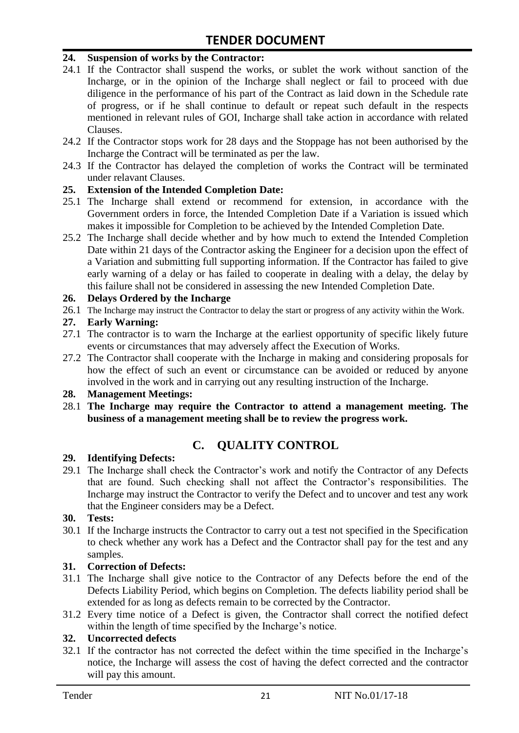#### **24. Suspension of works by the Contractor:**

- 24.1 If the Contractor shall suspend the works, or sublet the work without sanction of the Incharge, or in the opinion of the Incharge shall neglect or fail to proceed with due diligence in the performance of his part of the Contract as laid down in the Schedule rate of progress, or if he shall continue to default or repeat such default in the respects mentioned in relevant rules of GOI, Incharge shall take action in accordance with related Clauses.
- 24.2 If the Contractor stops work for 28 days and the Stoppage has not been authorised by the Incharge the Contract will be terminated as per the law.
- 24.3 If the Contractor has delayed the completion of works the Contract will be terminated under relavant Clauses.

#### **25. Extension of the Intended Completion Date:**

- 25.1 The Incharge shall extend or recommend for extension, in accordance with the Government orders in force, the Intended Completion Date if a Variation is issued which makes it impossible for Completion to be achieved by the Intended Completion Date.
- 25.2 The Incharge shall decide whether and by how much to extend the Intended Completion Date within 21 days of the Contractor asking the Engineer for a decision upon the effect of a Variation and submitting full supporting information. If the Contractor has failed to give early warning of a delay or has failed to cooperate in dealing with a delay, the delay by this failure shall not be considered in assessing the new Intended Completion Date.

#### **26. Delays Ordered by the Incharge**

26.1 The Incharge may instruct the Contractor to delay the start or progress of any activity within the Work.

#### **27. Early Warning:**

- 27.1 The contractor is to warn the Incharge at the earliest opportunity of specific likely future events or circumstances that may adversely affect the Execution of Works.
- 27.2 The Contractor shall cooperate with the Incharge in making and considering proposals for how the effect of such an event or circumstance can be avoided or reduced by anyone involved in the work and in carrying out any resulting instruction of the Incharge.

#### **28. Management Meetings:**

28.1 **The Incharge may require the Contractor to attend a management meeting. The business of a management meeting shall be to review the progress work.**

### **C. QUALITY CONTROL**

#### **29. Identifying Defects:**

29.1 The Incharge shall check the Contractor's work and notify the Contractor of any Defects that are found. Such checking shall not affect the Contractor"s responsibilities. The Incharge may instruct the Contractor to verify the Defect and to uncover and test any work that the Engineer considers may be a Defect.

#### **30. Tests:**

30.1 If the Incharge instructs the Contractor to carry out a test not specified in the Specification to check whether any work has a Defect and the Contractor shall pay for the test and any samples.

#### **31. Correction of Defects:**

- 31.1 The Incharge shall give notice to the Contractor of any Defects before the end of the Defects Liability Period, which begins on Completion. The defects liability period shall be extended for as long as defects remain to be corrected by the Contractor.
- 31.2 Every time notice of a Defect is given, the Contractor shall correct the notified defect within the length of time specified by the Incharge's notice.

#### **32. Uncorrected defects**

32.1 If the contractor has not corrected the defect within the time specified in the Incharge"s notice, the Incharge will assess the cost of having the defect corrected and the contractor will pay this amount.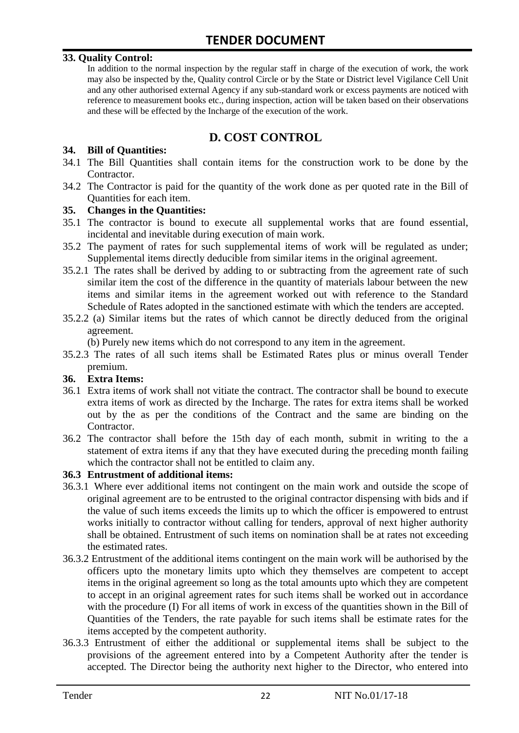#### **33. Quality Control:**

In addition to the normal inspection by the regular staff in charge of the execution of work, the work may also be inspected by the, Quality control Circle or by the State or District level Vigilance Cell Unit and any other authorised external Agency if any sub-standard work or excess payments are noticed with reference to measurement books etc., during inspection, action will be taken based on their observations and these will be effected by the Incharge of the execution of the work.

## **D. COST CONTROL**

#### **34. Bill of Quantities:**

- 34.1 The Bill Quantities shall contain items for the construction work to be done by the Contractor.
- 34.2 The Contractor is paid for the quantity of the work done as per quoted rate in the Bill of Quantities for each item.

#### **35. Changes in the Quantities:**

- 35.1 The contractor is bound to execute all supplemental works that are found essential, incidental and inevitable during execution of main work.
- 35.2 The payment of rates for such supplemental items of work will be regulated as under; Supplemental items directly deducible from similar items in the original agreement.
- 35.2.1 The rates shall be derived by adding to or subtracting from the agreement rate of such similar item the cost of the difference in the quantity of materials labour between the new items and similar items in the agreement worked out with reference to the Standard Schedule of Rates adopted in the sanctioned estimate with which the tenders are accepted.
- 35.2.2 (a) Similar items but the rates of which cannot be directly deduced from the original agreement.

(b) Purely new items which do not correspond to any item in the agreement.

35.2.3 The rates of all such items shall be Estimated Rates plus or minus overall Tender premium.

#### **36. Extra Items:**

- 36.1 Extra items of work shall not vitiate the contract. The contractor shall be bound to execute extra items of work as directed by the Incharge. The rates for extra items shall be worked out by the as per the conditions of the Contract and the same are binding on the Contractor.
- 36.2 The contractor shall before the 15th day of each month, submit in writing to the a statement of extra items if any that they have executed during the preceding month failing which the contractor shall not be entitled to claim any.

#### **36.3 Entrustment of additional items:**

- 36.3.1 Where ever additional items not contingent on the main work and outside the scope of original agreement are to be entrusted to the original contractor dispensing with bids and if the value of such items exceeds the limits up to which the officer is empowered to entrust works initially to contractor without calling for tenders, approval of next higher authority shall be obtained. Entrustment of such items on nomination shall be at rates not exceeding the estimated rates.
- 36.3.2 Entrustment of the additional items contingent on the main work will be authorised by the officers upto the monetary limits upto which they themselves are competent to accept items in the original agreement so long as the total amounts upto which they are competent to accept in an original agreement rates for such items shall be worked out in accordance with the procedure (I) For all items of work in excess of the quantities shown in the Bill of Quantities of the Tenders, the rate payable for such items shall be estimate rates for the items accepted by the competent authority.
- 36.3.3 Entrustment of either the additional or supplemental items shall be subject to the provisions of the agreement entered into by a Competent Authority after the tender is accepted. The Director being the authority next higher to the Director, who entered into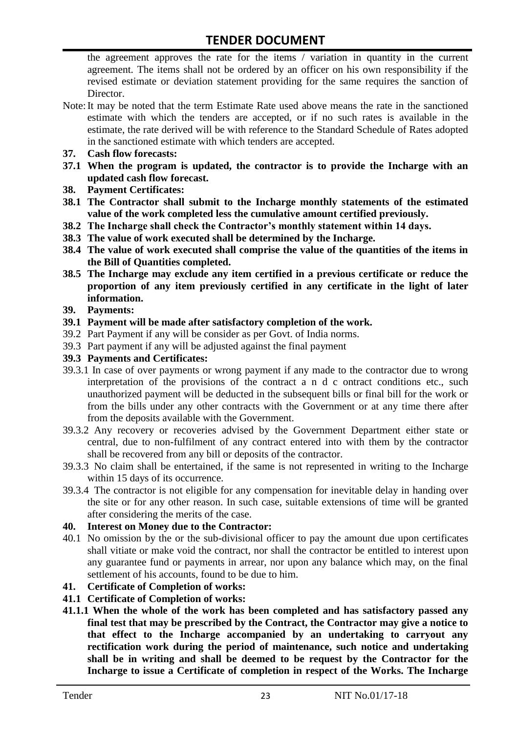the agreement approves the rate for the items / variation in quantity in the current agreement. The items shall not be ordered by an officer on his own responsibility if the revised estimate or deviation statement providing for the same requires the sanction of Director.

- Note:It may be noted that the term Estimate Rate used above means the rate in the sanctioned estimate with which the tenders are accepted, or if no such rates is available in the estimate, the rate derived will be with reference to the Standard Schedule of Rates adopted in the sanctioned estimate with which tenders are accepted.
- **37. Cash flow forecasts:**
- **37.1 When the program is updated, the contractor is to provide the Incharge with an updated cash flow forecast.**
- **38. Payment Certificates:**
- **38.1 The Contractor shall submit to the Incharge monthly statements of the estimated value of the work completed less the cumulative amount certified previously.**
- **38.2 The Incharge shall check the Contractor's monthly statement within 14 days.**
- **38.3 The value of work executed shall be determined by the Incharge.**
- **38.4 The value of work executed shall comprise the value of the quantities of the items in the Bill of Quantities completed.**
- **38.5 The Incharge may exclude any item certified in a previous certificate or reduce the proportion of any item previously certified in any certificate in the light of later information.**
- **39. Payments:**
- **39.1 Payment will be made after satisfactory completion of the work.**
- 39.2 Part Payment if any will be consider as per Govt. of India norms.
- 39.3 Part payment if any will be adjusted against the final payment
- **39.3 Payments and Certificates:**
- 39.3.1 In case of over payments or wrong payment if any made to the contractor due to wrong interpretation of the provisions of the contract a n d c ontract conditions etc., such unauthorized payment will be deducted in the subsequent bills or final bill for the work or from the bills under any other contracts with the Government or at any time there after from the deposits available with the Government.
- 39.3.2 Any recovery or recoveries advised by the Government Department either state or central, due to non-fulfilment of any contract entered into with them by the contractor shall be recovered from any bill or deposits of the contractor.
- 39.3.3 No claim shall be entertained, if the same is not represented in writing to the Incharge within 15 days of its occurrence.
- 39.3.4 The contractor is not eligible for any compensation for inevitable delay in handing over the site or for any other reason. In such case, suitable extensions of time will be granted after considering the merits of the case.

#### **40. Interest on Money due to the Contractor:**

- 40.1 No omission by the or the sub-divisional officer to pay the amount due upon certificates shall vitiate or make void the contract, nor shall the contractor be entitled to interest upon any guarantee fund or payments in arrear, nor upon any balance which may, on the final settlement of his accounts, found to be due to him.
- **41. Certificate of Completion of works:**
- **41.1 Certificate of Completion of works:**
- **41.1.1 When the whole of the work has been completed and has satisfactory passed any final test that may be prescribed by the Contract, the Contractor may give a notice to that effect to the Incharge accompanied by an undertaking to carryout any rectification work during the period of maintenance, such notice and undertaking shall be in writing and shall be deemed to be request by the Contractor for the Incharge to issue a Certificate of completion in respect of the Works. The Incharge**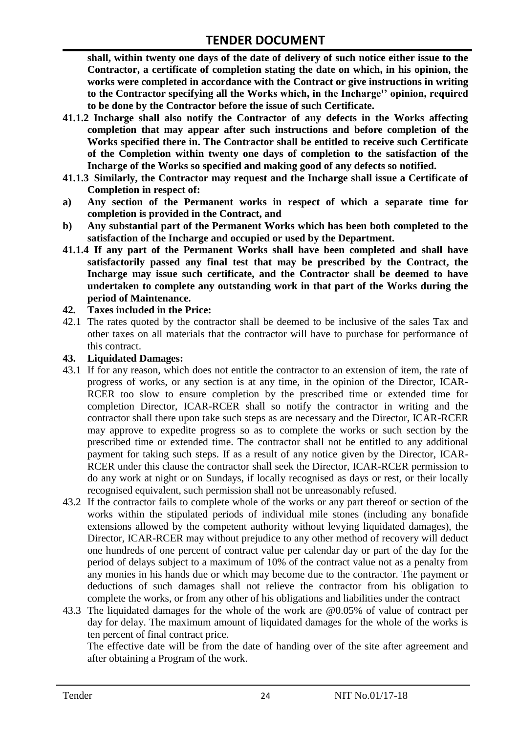**shall, within twenty one days of the date of delivery of such notice either issue to the Contractor, a certificate of completion stating the date on which, in his opinion, the works were completed in accordance with the Contract or give instructions in writing to the Contractor specifying all the Works which, in the Incharge'' opinion, required to be done by the Contractor before the issue of such Certificate.**

- **41.1.2 Incharge shall also notify the Contractor of any defects in the Works affecting completion that may appear after such instructions and before completion of the Works specified there in. The Contractor shall be entitled to receive such Certificate of the Completion within twenty one days of completion to the satisfaction of the Incharge of the Works so specified and making good of any defects so notified.**
- **41.1.3 Similarly, the Contractor may request and the Incharge shall issue a Certificate of Completion in respect of:**
- **a) Any section of the Permanent works in respect of which a separate time for completion is provided in the Contract, and**
- **b) Any substantial part of the Permanent Works which has been both completed to the satisfaction of the Incharge and occupied or used by the Department.**
- **41.1.4 If any part of the Permanent Works shall have been completed and shall have satisfactorily passed any final test that may be prescribed by the Contract, the Incharge may issue such certificate, and the Contractor shall be deemed to have undertaken to complete any outstanding work in that part of the Works during the period of Maintenance.**

#### **42. Taxes included in the Price:**

42.1 The rates quoted by the contractor shall be deemed to be inclusive of the sales Tax and other taxes on all materials that the contractor will have to purchase for performance of this contract.

#### **43. Liquidated Damages:**

- 43.1 If for any reason, which does not entitle the contractor to an extension of item, the rate of progress of works, or any section is at any time, in the opinion of the Director, ICAR-RCER too slow to ensure completion by the prescribed time or extended time for completion Director, ICAR-RCER shall so notify the contractor in writing and the contractor shall there upon take such steps as are necessary and the Director, ICAR-RCER may approve to expedite progress so as to complete the works or such section by the prescribed time or extended time. The contractor shall not be entitled to any additional payment for taking such steps. If as a result of any notice given by the Director, ICAR-RCER under this clause the contractor shall seek the Director, ICAR-RCER permission to do any work at night or on Sundays, if locally recognised as days or rest, or their locally recognised equivalent, such permission shall not be unreasonably refused.
- 43.2 If the contractor fails to complete whole of the works or any part thereof or section of the works within the stipulated periods of individual mile stones (including any bonafide extensions allowed by the competent authority without levying liquidated damages), the Director, ICAR-RCER may without prejudice to any other method of recovery will deduct one hundreds of one percent of contract value per calendar day or part of the day for the period of delays subject to a maximum of 10% of the contract value not as a penalty from any monies in his hands due or which may become due to the contractor. The payment or deductions of such damages shall not relieve the contractor from his obligation to complete the works, or from any other of his obligations and liabilities under the contract
- 43.3 The liquidated damages for the whole of the work are @0.05% of value of contract per day for delay. The maximum amount of liquidated damages for the whole of the works is ten percent of final contract price.

The effective date will be from the date of handing over of the site after agreement and after obtaining a Program of the work.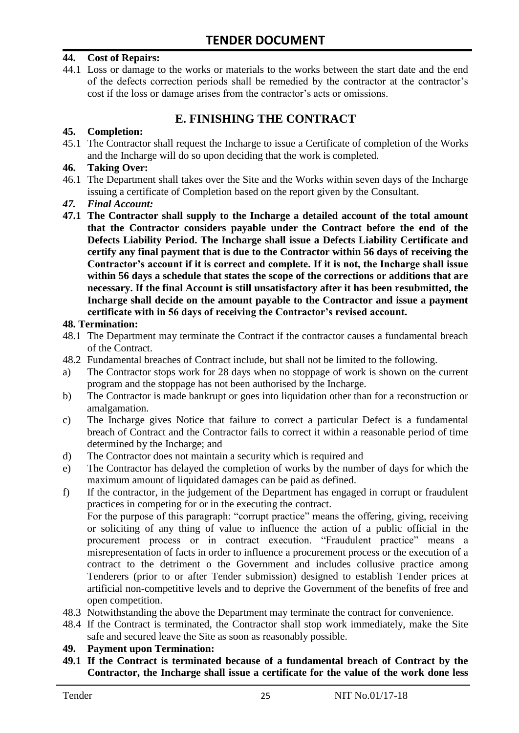#### **44. Cost of Repairs:**

44.1 Loss or damage to the works or materials to the works between the start date and the end of the defects correction periods shall be remedied by the contractor at the contractor"s cost if the loss or damage arises from the contractor's acts or omissions.

## **E. FINISHING THE CONTRACT**

#### **45. Completion:**

45.1 The Contractor shall request the Incharge to issue a Certificate of completion of the Works and the Incharge will do so upon deciding that the work is completed.

#### **46. Taking Over:**

- 46.1 The Department shall takes over the Site and the Works within seven days of the Incharge issuing a certificate of Completion based on the report given by the Consultant.
- *47. Final Account:*
- **47.1 The Contractor shall supply to the Incharge a detailed account of the total amount that the Contractor considers payable under the Contract before the end of the Defects Liability Period. The Incharge shall issue a Defects Liability Certificate and certify any final payment that is due to the Contractor within 56 days of receiving the Contractor's account if it is correct and complete. If it is not, the Incharge shall issue within 56 days a schedule that states the scope of the corrections or additions that are necessary. If the final Account is still unsatisfactory after it has been resubmitted, the Incharge shall decide on the amount payable to the Contractor and issue a payment certificate with in 56 days of receiving the Contractor's revised account.**

#### **48. Termination:**

- 48.1 The Department may terminate the Contract if the contractor causes a fundamental breach of the Contract.
- 48.2 Fundamental breaches of Contract include, but shall not be limited to the following.
- a) The Contractor stops work for 28 days when no stoppage of work is shown on the current program and the stoppage has not been authorised by the Incharge.
- b) The Contractor is made bankrupt or goes into liquidation other than for a reconstruction or amalgamation.
- c) The Incharge gives Notice that failure to correct a particular Defect is a fundamental breach of Contract and the Contractor fails to correct it within a reasonable period of time determined by the Incharge; and
- d) The Contractor does not maintain a security which is required and
- e) The Contractor has delayed the completion of works by the number of days for which the maximum amount of liquidated damages can be paid as defined.
- f) If the contractor, in the judgement of the Department has engaged in corrupt or fraudulent practices in competing for or in the executing the contract.

For the purpose of this paragraph: "corrupt practice" means the offering, giving, receiving or soliciting of any thing of value to influence the action of a public official in the procurement process or in contract execution. "Fraudulent practice" means a misrepresentation of facts in order to influence a procurement process or the execution of a contract to the detriment o the Government and includes collusive practice among Tenderers (prior to or after Tender submission) designed to establish Tender prices at artificial non-competitive levels and to deprive the Government of the benefits of free and open competition.

- 48.3 Notwithstanding the above the Department may terminate the contract for convenience.
- 48.4 If the Contract is terminated, the Contractor shall stop work immediately, make the Site safe and secured leave the Site as soon as reasonably possible.

#### **49. Payment upon Termination:**

**49.1 If the Contract is terminated because of a fundamental breach of Contract by the Contractor, the Incharge shall issue a certificate for the value of the work done less**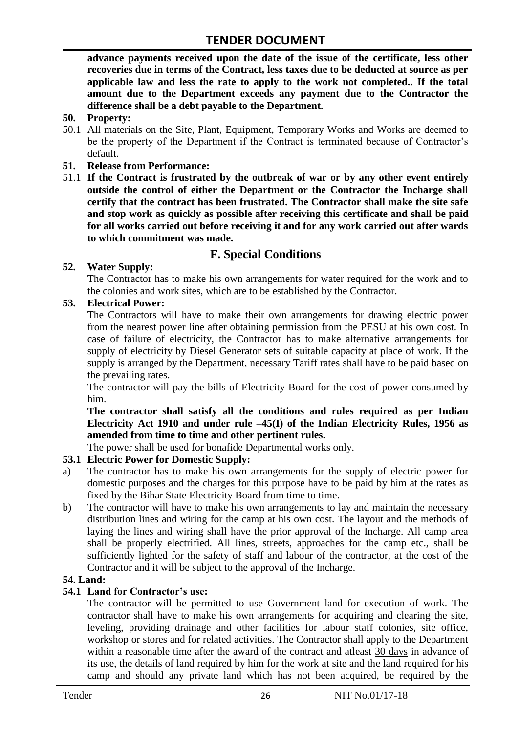**advance payments received upon the date of the issue of the certificate, less other recoveries due in terms of the Contract, less taxes due to be deducted at source as per applicable law and less the rate to apply to the work not completed.. If the total amount due to the Department exceeds any payment due to the Contractor the difference shall be a debt payable to the Department.**

- **50. Property:**
- 50.1 All materials on the Site, Plant, Equipment, Temporary Works and Works are deemed to be the property of the Department if the Contract is terminated because of Contractor's default.
- **51. Release from Performance:**
- 51.1 **If the Contract is frustrated by the outbreak of war or by any other event entirely outside the control of either the Department or the Contractor the Incharge shall certify that the contract has been frustrated. The Contractor shall make the site safe and stop work as quickly as possible after receiving this certificate and shall be paid for all works carried out before receiving it and for any work carried out after wards to which commitment was made.**

# **F. Special Conditions**

#### **52. Water Supply:**

The Contractor has to make his own arrangements for water required for the work and to the colonies and work sites, which are to be established by the Contractor.

#### **53. Electrical Power:**

The Contractors will have to make their own arrangements for drawing electric power from the nearest power line after obtaining permission from the PESU at his own cost. In case of failure of electricity, the Contractor has to make alternative arrangements for supply of electricity by Diesel Generator sets of suitable capacity at place of work. If the supply is arranged by the Department, necessary Tariff rates shall have to be paid based on the prevailing rates.

The contractor will pay the bills of Electricity Board for the cost of power consumed by him.

**The contractor shall satisfy all the conditions and rules required as per Indian Electricity Act 1910 and under rule –45(I) of the Indian Electricity Rules, 1956 as amended from time to time and other pertinent rules.**

The power shall be used for bonafide Departmental works only.

#### **53.1 Electric Power for Domestic Supply:**

- a) The contractor has to make his own arrangements for the supply of electric power for domestic purposes and the charges for this purpose have to be paid by him at the rates as fixed by the Bihar State Electricity Board from time to time.
- b) The contractor will have to make his own arrangements to lay and maintain the necessary distribution lines and wiring for the camp at his own cost. The layout and the methods of laying the lines and wiring shall have the prior approval of the Incharge. All camp area shall be properly electrified. All lines, streets, approaches for the camp etc., shall be sufficiently lighted for the safety of staff and labour of the contractor, at the cost of the Contractor and it will be subject to the approval of the Incharge.

#### **54. Land:**

#### **54.1 Land for Contractor's use:**

The contractor will be permitted to use Government land for execution of work. The contractor shall have to make his own arrangements for acquiring and clearing the site, leveling, providing drainage and other facilities for labour staff colonies, site office, workshop or stores and for related activities. The Contractor shall apply to the Department within a reasonable time after the award of the contract and atleast 30 days in advance of its use, the details of land required by him for the work at site and the land required for his camp and should any private land which has not been acquired, be required by the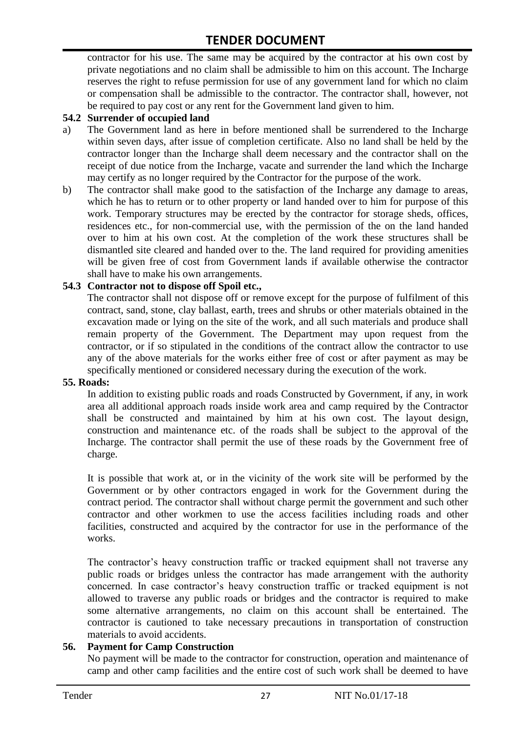contractor for his use. The same may be acquired by the contractor at his own cost by private negotiations and no claim shall be admissible to him on this account. The Incharge reserves the right to refuse permission for use of any government land for which no claim or compensation shall be admissible to the contractor. The contractor shall, however, not be required to pay cost or any rent for the Government land given to him.

#### **54.2 Surrender of occupied land**

- a) The Government land as here in before mentioned shall be surrendered to the Incharge within seven days, after issue of completion certificate. Also no land shall be held by the contractor longer than the Incharge shall deem necessary and the contractor shall on the receipt of due notice from the Incharge, vacate and surrender the land which the Incharge may certify as no longer required by the Contractor for the purpose of the work.
- b) The contractor shall make good to the satisfaction of the Incharge any damage to areas, which he has to return or to other property or land handed over to him for purpose of this work. Temporary structures may be erected by the contractor for storage sheds, offices, residences etc., for non-commercial use, with the permission of the on the land handed over to him at his own cost. At the completion of the work these structures shall be dismantled site cleared and handed over to the. The land required for providing amenities will be given free of cost from Government lands if available otherwise the contractor shall have to make his own arrangements.

#### **54.3 Contractor not to dispose off Spoil etc.,**

The contractor shall not dispose off or remove except for the purpose of fulfilment of this contract, sand, stone, clay ballast, earth, trees and shrubs or other materials obtained in the excavation made or lying on the site of the work, and all such materials and produce shall remain property of the Government. The Department may upon request from the contractor, or if so stipulated in the conditions of the contract allow the contractor to use any of the above materials for the works either free of cost or after payment as may be specifically mentioned or considered necessary during the execution of the work.

#### **55. Roads:**

In addition to existing public roads and roads Constructed by Government, if any, in work area all additional approach roads inside work area and camp required by the Contractor shall be constructed and maintained by him at his own cost. The layout design, construction and maintenance etc. of the roads shall be subject to the approval of the Incharge. The contractor shall permit the use of these roads by the Government free of charge.

It is possible that work at, or in the vicinity of the work site will be performed by the Government or by other contractors engaged in work for the Government during the contract period. The contractor shall without charge permit the government and such other contractor and other workmen to use the access facilities including roads and other facilities, constructed and acquired by the contractor for use in the performance of the works.

The contractor's heavy construction traffic or tracked equipment shall not traverse any public roads or bridges unless the contractor has made arrangement with the authority concerned. In case contractor"s heavy construction traffic or tracked equipment is not allowed to traverse any public roads or bridges and the contractor is required to make some alternative arrangements, no claim on this account shall be entertained. The contractor is cautioned to take necessary precautions in transportation of construction materials to avoid accidents.

#### **56. Payment for Camp Construction**

No payment will be made to the contractor for construction, operation and maintenance of camp and other camp facilities and the entire cost of such work shall be deemed to have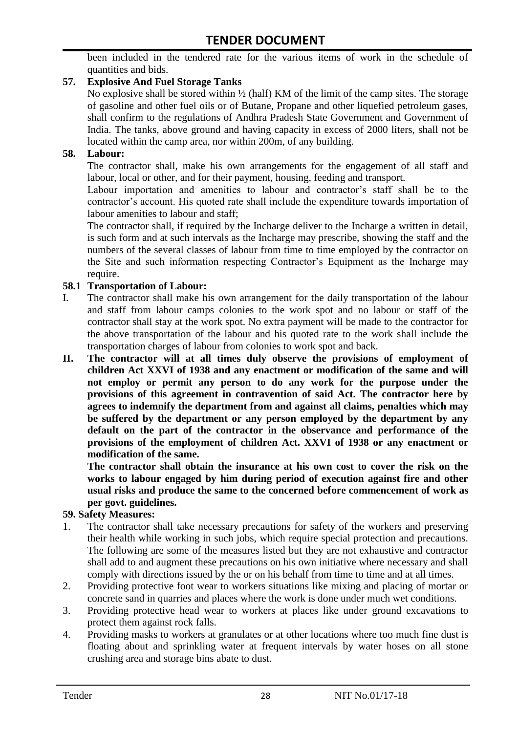been included in the tendered rate for the various items of work in the schedule of quantities and bids.

#### **57. Explosive And Fuel Storage Tanks**

No explosive shall be stored within ½ (half) KM of the limit of the camp sites. The storage of gasoline and other fuel oils or of Butane, Propane and other liquefied petroleum gases, shall confirm to the regulations of Andhra Pradesh State Government and Government of India. The tanks, above ground and having capacity in excess of 2000 liters, shall not be located within the camp area, nor within 200m, of any building.

#### **58. Labour:**

The contractor shall, make his own arrangements for the engagement of all staff and labour, local or other, and for their payment, housing, feeding and transport.

Labour importation and amenities to labour and contractor's staff shall be to the contractor's account. His quoted rate shall include the expenditure towards importation of labour amenities to labour and staff;

The contractor shall, if required by the Incharge deliver to the Incharge a written in detail, is such form and at such intervals as the Incharge may prescribe, showing the staff and the numbers of the several classes of labour from time to time employed by the contractor on the Site and such information respecting Contractor"s Equipment as the Incharge may require.

#### **58.1 Transportation of Labour:**

- I. The contractor shall make his own arrangement for the daily transportation of the labour and staff from labour camps colonies to the work spot and no labour or staff of the contractor shall stay at the work spot. No extra payment will be made to the contractor for the above transportation of the labour and his quoted rate to the work shall include the transportation charges of labour from colonies to work spot and back.
- **II. The contractor will at all times duly observe the provisions of employment of children Act XXVI of 1938 and any enactment or modification of the same and will not employ or permit any person to do any work for the purpose under the provisions of this agreement in contravention of said Act. The contractor here by agrees to indemnify the department from and against all claims, penalties which may be suffered by the department or any person employed by the department by any default on the part of the contractor in the observance and performance of the provisions of the employment of children Act. XXVI of 1938 or any enactment or modification of the same.**

**The contractor shall obtain the insurance at his own cost to cover the risk on the works to labour engaged by him during period of execution against fire and other usual risks and produce the same to the concerned before commencement of work as per govt. guidelines.**

#### **59. Safety Measures:**

- 1. The contractor shall take necessary precautions for safety of the workers and preserving their health while working in such jobs, which require special protection and precautions. The following are some of the measures listed but they are not exhaustive and contractor shall add to and augment these precautions on his own initiative where necessary and shall comply with directions issued by the or on his behalf from time to time and at all times.
- 2. Providing protective foot wear to workers situations like mixing and placing of mortar or concrete sand in quarries and places where the work is done under much wet conditions.
- 3. Providing protective head wear to workers at places like under ground excavations to protect them against rock falls.
- 4. Providing masks to workers at granulates or at other locations where too much fine dust is floating about and sprinkling water at frequent intervals by water hoses on all stone crushing area and storage bins abate to dust.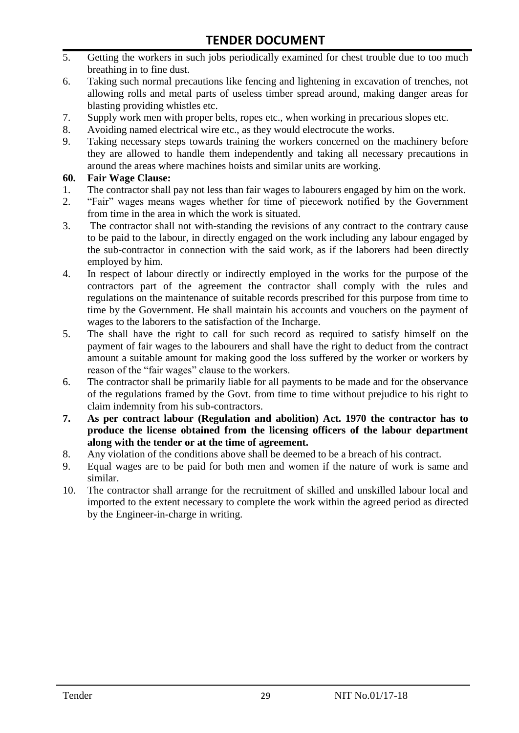- 5. Getting the workers in such jobs periodically examined for chest trouble due to too much breathing in to fine dust.
- 6. Taking such normal precautions like fencing and lightening in excavation of trenches, not allowing rolls and metal parts of useless timber spread around, making danger areas for blasting providing whistles etc.
- 7. Supply work men with proper belts, ropes etc., when working in precarious slopes etc.
- 8. Avoiding named electrical wire etc., as they would electrocute the works.
- 9. Taking necessary steps towards training the workers concerned on the machinery before they are allowed to handle them independently and taking all necessary precautions in around the areas where machines hoists and similar units are working.

#### **60. Fair Wage Clause:**

- 1. The contractor shall pay not less than fair wages to labourers engaged by him on the work.
- 2. "Fair" wages means wages whether for time of piecework notified by the Government from time in the area in which the work is situated.
- 3. The contractor shall not with-standing the revisions of any contract to the contrary cause to be paid to the labour, in directly engaged on the work including any labour engaged by the sub-contractor in connection with the said work, as if the laborers had been directly employed by him.
- 4. In respect of labour directly or indirectly employed in the works for the purpose of the contractors part of the agreement the contractor shall comply with the rules and regulations on the maintenance of suitable records prescribed for this purpose from time to time by the Government. He shall maintain his accounts and vouchers on the payment of wages to the laborers to the satisfaction of the Incharge.
- 5. The shall have the right to call for such record as required to satisfy himself on the payment of fair wages to the labourers and shall have the right to deduct from the contract amount a suitable amount for making good the loss suffered by the worker or workers by reason of the "fair wages" clause to the workers.
- 6. The contractor shall be primarily liable for all payments to be made and for the observance of the regulations framed by the Govt. from time to time without prejudice to his right to claim indemnity from his sub-contractors.
- **7. As per contract labour (Regulation and abolition) Act. 1970 the contractor has to produce the license obtained from the licensing officers of the labour department along with the tender or at the time of agreement.**
- 8. Any violation of the conditions above shall be deemed to be a breach of his contract.
- 9. Equal wages are to be paid for both men and women if the nature of work is same and similar.
- 10. The contractor shall arrange for the recruitment of skilled and unskilled labour local and imported to the extent necessary to complete the work within the agreed period as directed by the Engineer-in-charge in writing.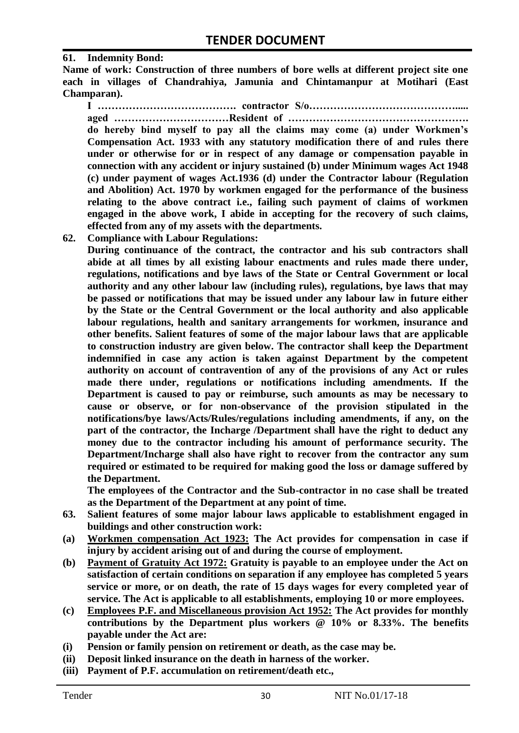#### **61. Indemnity Bond:**

**Name of work: Construction of three numbers of bore wells at different project site one each in villages of Chandrahiya, Jamunia and Chintamanpur at Motihari (East Champaran).**

**I …………………………………. contractor S/o……………………………………..... aged ……………………………Resident of …………………………………………….** 

**do hereby bind myself to pay all the claims may come (a) under Workmen's Compensation Act. 1933 with any statutory modification there of and rules there under or otherwise for or in respect of any damage or compensation payable in connection with any accident or injury sustained (b) under Minimum wages Act 1948 (c) under payment of wages Act.1936 (d) under the Contractor labour (Regulation and Abolition) Act. 1970 by workmen engaged for the performance of the business relating to the above contract i.e., failing such payment of claims of workmen engaged in the above work, I abide in accepting for the recovery of such claims, effected from any of my assets with the departments.**

**62. Compliance with Labour Regulations:**

**During continuance of the contract, the contractor and his sub contractors shall abide at all times by all existing labour enactments and rules made there under, regulations, notifications and bye laws of the State or Central Government or local authority and any other labour law (including rules), regulations, bye laws that may be passed or notifications that may be issued under any labour law in future either by the State or the Central Government or the local authority and also applicable labour regulations, health and sanitary arrangements for workmen, insurance and other benefits. Salient features of some of the major labour laws that are applicable to construction industry are given below. The contractor shall keep the Department indemnified in case any action is taken against Department by the competent authority on account of contravention of any of the provisions of any Act or rules made there under, regulations or notifications including amendments. If the Department is caused to pay or reimburse, such amounts as may be necessary to cause or observe, or for non-observance of the provision stipulated in the notifications/bye laws/Acts/Rules/regulations including amendments, if any, on the part of the contractor, the Incharge /Department shall have the right to deduct any money due to the contractor including his amount of performance security. The Department/Incharge shall also have right to recover from the contractor any sum required or estimated to be required for making good the loss or damage suffered by the Department.**

**The employees of the Contractor and the Sub-contractor in no case shall be treated as the Department of the Department at any point of time.**

- **63. Salient features of some major labour laws applicable to establishment engaged in buildings and other construction work:**
- **(a) Workmen compensation Act 1923: The Act provides for compensation in case if injury by accident arising out of and during the course of employment.**
- **(b) Payment of Gratuity Act 1972: Gratuity is payable to an employee under the Act on satisfaction of certain conditions on separation if any employee has completed 5 years service or more, or on death, the rate of 15 days wages for every completed year of service. The Act is applicable to all establishments, employing 10 or more employees.**
- **(c) Employees P.F. and Miscellaneous provision Act 1952: The Act provides for monthly contributions by the Department plus workers @ 10% or 8.33%. The benefits payable under the Act are:**
- **(i) Pension or family pension on retirement or death, as the case may be.**
- **(ii) Deposit linked insurance on the death in harness of the worker.**
- **(iii) Payment of P.F. accumulation on retirement/death etc.,**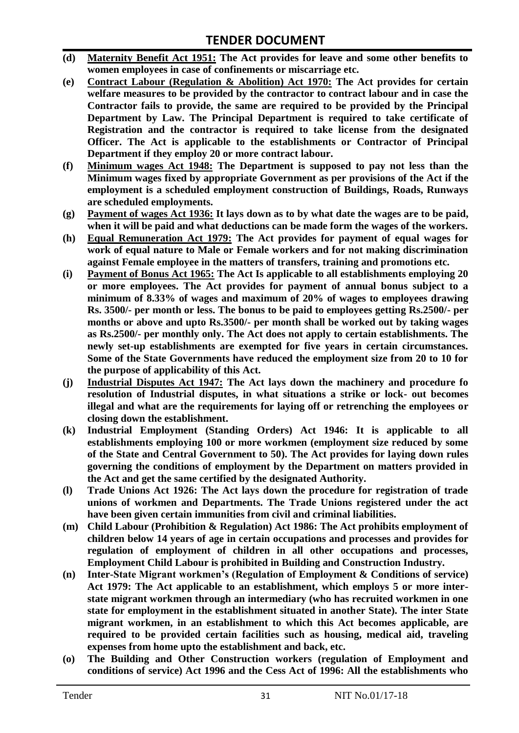- **(d) Maternity Benefit Act 1951: The Act provides for leave and some other benefits to women employees in case of confinements or miscarriage etc.**
- **(e) Contract Labour (Regulation & Abolition) Act 1970: The Act provides for certain**  welfare measures to be provided by the contractor to contract labour and in case the **Contractor fails to provide, the same are required to be provided by the Principal Department by Law. The Principal Department is required to take certificate of Registration and the contractor is required to take license from the designated Officer. The Act is applicable to the establishments or Contractor of Principal Department if they employ 20 or more contract labour.**
- **(f) Minimum wages Act 1948: The Department is supposed to pay not less than the Minimum wages fixed by appropriate Government as per provisions of the Act if the employment is a scheduled employment construction of Buildings, Roads, Runways are scheduled employments.**
- **(g) Payment of wages Act 1936: It lays down as to by what date the wages are to be paid, when it will be paid and what deductions can be made form the wages of the workers.**
- **(h) Equal Remuneration Act 1979: The Act provides for payment of equal wages for work of equal nature to Male or Female workers and for not making discrimination against Female employee in the matters of transfers, training and promotions etc.**
- **(i) Payment of Bonus Act 1965: The Act Is applicable to all establishments employing 20 or more employees. The Act provides for payment of annual bonus subject to a minimum of 8.33% of wages and maximum of 20% of wages to employees drawing Rs. 3500/- per month or less. The bonus to be paid to employees getting Rs.2500/- per months or above and upto Rs.3500/- per month shall be worked out by taking wages as Rs.2500/- per monthly only. The Act does not apply to certain establishments. The newly set-up establishments are exempted for five years in certain circumstances. Some of the State Governments have reduced the employment size from 20 to 10 for the purpose of applicability of this Act.**
- **(j) Industrial Disputes Act 1947: The Act lays down the machinery and procedure fo resolution of Industrial disputes, in what situations a strike or lock- out becomes illegal and what are the requirements for laying off or retrenching the employees or closing down the establishment.**
- **(k) Industrial Employment (Standing Orders) Act 1946: It is applicable to all establishments employing 100 or more workmen (employment size reduced by some of the State and Central Government to 50). The Act provides for laying down rules governing the conditions of employment by the Department on matters provided in the Act and get the same certified by the designated Authority.**
- **(l) Trade Unions Act 1926: The Act lays down the procedure for registration of trade unions of workmen and Departments. The Trade Unions registered under the act have been given certain immunities from civil and criminal liabilities.**
- **(m) Child Labour (Prohibition & Regulation) Act 1986: The Act prohibits employment of children below 14 years of age in certain occupations and processes and provides for regulation of employment of children in all other occupations and processes, Employment Child Labour is prohibited in Building and Construction Industry.**
- **(n) Inter-State Migrant workmen's (Regulation of Employment & Conditions of service) Act 1979: The Act applicable to an establishment, which employs 5 or more interstate migrant workmen through an intermediary (who has recruited workmen in one state for employment in the establishment situated in another State). The inter State migrant workmen, in an establishment to which this Act becomes applicable, are required to be provided certain facilities such as housing, medical aid, traveling expenses from home upto the establishment and back, etc.**
- **(o) The Building and Other Construction workers (regulation of Employment and conditions of service) Act 1996 and the Cess Act of 1996: All the establishments who**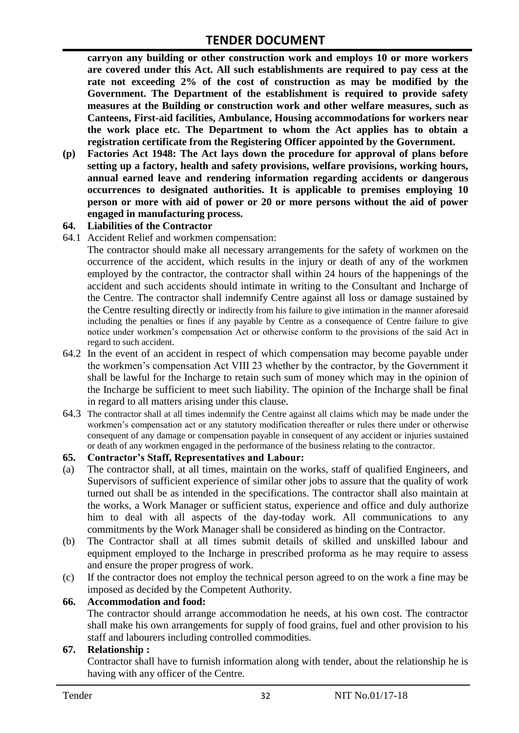**carryon any building or other construction work and employs 10 or more workers are covered under this Act. All such establishments are required to pay cess at the rate not exceeding 2% of the cost of construction as may be modified by the Government. The Department of the establishment is required to provide safety measures at the Building or construction work and other welfare measures, such as Canteens, First-aid facilities, Ambulance, Housing accommodations for workers near the work place etc. The Department to whom the Act applies has to obtain a registration certificate from the Registering Officer appointed by the Government.**

**(p) Factories Act 1948: The Act lays down the procedure for approval of plans before setting up a factory, health and safety provisions, welfare provisions, working hours, annual earned leave and rendering information regarding accidents or dangerous occurrences to designated authorities. It is applicable to premises employing 10 person or more with aid of power or 20 or more persons without the aid of power engaged in manufacturing process.**

#### **64. Liabilities of the Contractor**

64.1 Accident Relief and workmen compensation:

The contractor should make all necessary arrangements for the safety of workmen on the occurrence of the accident, which results in the injury or death of any of the workmen employed by the contractor, the contractor shall within 24 hours of the happenings of the accident and such accidents should intimate in writing to the Consultant and Incharge of the Centre. The contractor shall indemnify Centre against all loss or damage sustained by the Centre resulting directly or indirectly from his failure to give intimation in the manner aforesaid including the penalties or fines if any payable by Centre as a consequence of Centre failure to give notice under workmen"s compensation Act or otherwise conform to the provisions of the said Act in regard to such accident.

- 64.2 In the event of an accident in respect of which compensation may become payable under the workmen"s compensation Act VIII 23 whether by the contractor, by the Government it shall be lawful for the Incharge to retain such sum of money which may in the opinion of the Incharge be sufficient to meet such liability. The opinion of the Incharge shall be final in regard to all matters arising under this clause.
- 64.3 The contractor shall at all times indemnify the Centre against all claims which may be made under the workmen"s compensation act or any statutory modification thereafter or rules there under or otherwise consequent of any damage or compensation payable in consequent of any accident or injuries sustained or death of any workmen engaged in the performance of the business relating to the contractor.

#### **65. Contractor's Staff, Representatives and Labour:**

- (a) The contractor shall, at all times, maintain on the works, staff of qualified Engineers, and Supervisors of sufficient experience of similar other jobs to assure that the quality of work turned out shall be as intended in the specifications. The contractor shall also maintain at the works, a Work Manager or sufficient status, experience and office and duly authorize him to deal with all aspects of the day-today work. All communications to any commitments by the Work Manager shall be considered as binding on the Contractor.
- (b) The Contractor shall at all times submit details of skilled and unskilled labour and equipment employed to the Incharge in prescribed proforma as he may require to assess and ensure the proper progress of work.
- (c) If the contractor does not employ the technical person agreed to on the work a fine may be imposed as decided by the Competent Authority.

#### **66. Accommodation and food:**

The contractor should arrange accommodation he needs, at his own cost. The contractor shall make his own arrangements for supply of food grains, fuel and other provision to his staff and labourers including controlled commodities.

#### **67. Relationship :**

Contractor shall have to furnish information along with tender, about the relationship he is having with any officer of the Centre.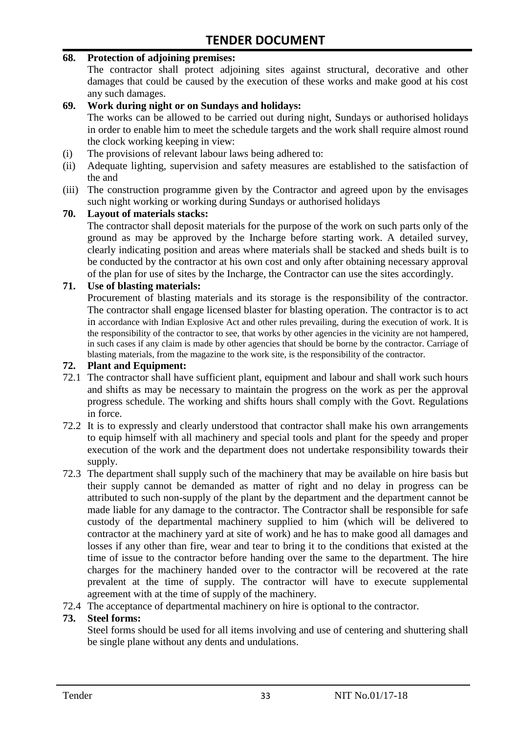#### **68. Protection of adjoining premises:**

The contractor shall protect adjoining sites against structural, decorative and other damages that could be caused by the execution of these works and make good at his cost any such damages.

#### **69. Work during night or on Sundays and holidays:**

The works can be allowed to be carried out during night, Sundays or authorised holidays in order to enable him to meet the schedule targets and the work shall require almost round the clock working keeping in view:

- (i) The provisions of relevant labour laws being adhered to:
- (ii) Adequate lighting, supervision and safety measures are established to the satisfaction of the and
- (iii) The construction programme given by the Contractor and agreed upon by the envisages such night working or working during Sundays or authorised holidays

#### **70. Layout of materials stacks:**

The contractor shall deposit materials for the purpose of the work on such parts only of the ground as may be approved by the Incharge before starting work. A detailed survey, clearly indicating position and areas where materials shall be stacked and sheds built is to be conducted by the contractor at his own cost and only after obtaining necessary approval of the plan for use of sites by the Incharge, the Contractor can use the sites accordingly.

#### **71. Use of blasting materials:**

Procurement of blasting materials and its storage is the responsibility of the contractor. The contractor shall engage licensed blaster for blasting operation. The contractor is to act in accordance with Indian Explosive Act and other rules prevailing, during the execution of work. It is the responsibility of the contractor to see, that works by other agencies in the vicinity are not hampered, in such cases if any claim is made by other agencies that should be borne by the contractor. Carriage of blasting materials, from the magazine to the work site, is the responsibility of the contractor.

#### **72. Plant and Equipment:**

- 72.1 The contractor shall have sufficient plant, equipment and labour and shall work such hours and shifts as may be necessary to maintain the progress on the work as per the approval progress schedule. The working and shifts hours shall comply with the Govt. Regulations in force.
- 72.2 It is to expressly and clearly understood that contractor shall make his own arrangements to equip himself with all machinery and special tools and plant for the speedy and proper execution of the work and the department does not undertake responsibility towards their supply.
- 72.3 The department shall supply such of the machinery that may be available on hire basis but their supply cannot be demanded as matter of right and no delay in progress can be attributed to such non-supply of the plant by the department and the department cannot be made liable for any damage to the contractor. The Contractor shall be responsible for safe custody of the departmental machinery supplied to him (which will be delivered to contractor at the machinery yard at site of work) and he has to make good all damages and losses if any other than fire, wear and tear to bring it to the conditions that existed at the time of issue to the contractor before handing over the same to the department. The hire charges for the machinery handed over to the contractor will be recovered at the rate prevalent at the time of supply. The contractor will have to execute supplemental agreement with at the time of supply of the machinery.
- 72.4 The acceptance of departmental machinery on hire is optional to the contractor.

#### **73. Steel forms:**

Steel forms should be used for all items involving and use of centering and shuttering shall be single plane without any dents and undulations.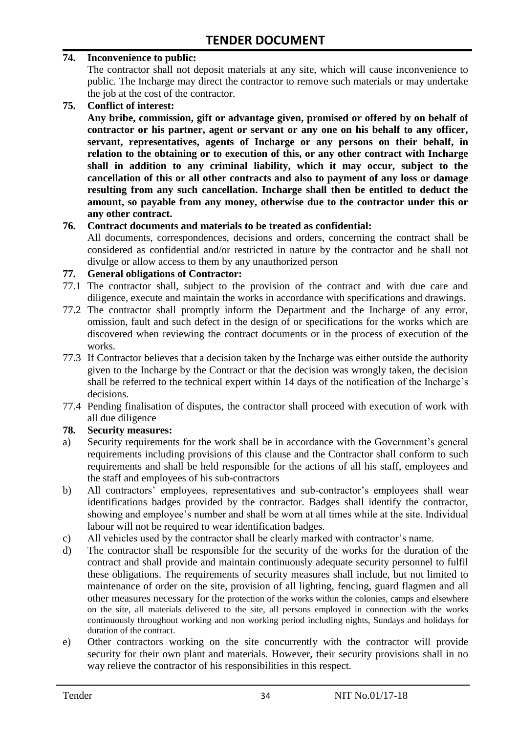#### **74. Inconvenience to public:**

The contractor shall not deposit materials at any site, which will cause inconvenience to public. The Incharge may direct the contractor to remove such materials or may undertake the job at the cost of the contractor.

**75. Conflict of interest:**

**Any bribe, commission, gift or advantage given, promised or offered by on behalf of contractor or his partner, agent or servant or any one on his behalf to any officer, servant, representatives, agents of Incharge or any persons on their behalf, in relation to the obtaining or to execution of this, or any other contract with Incharge shall in addition to any criminal liability, which it may occur, subject to the cancellation of this or all other contracts and also to payment of any loss or damage resulting from any such cancellation. Incharge shall then be entitled to deduct the amount, so payable from any money, otherwise due to the contractor under this or any other contract.**

#### **76. Contract documents and materials to be treated as confidential:**

All documents, correspondences, decisions and orders, concerning the contract shall be considered as confidential and/or restricted in nature by the contractor and he shall not divulge or allow access to them by any unauthorized person

#### **77. General obligations of Contractor:**

- 77.1 The contractor shall, subject to the provision of the contract and with due care and diligence, execute and maintain the works in accordance with specifications and drawings.
- 77.2 The contractor shall promptly inform the Department and the Incharge of any error, omission, fault and such defect in the design of or specifications for the works which are discovered when reviewing the contract documents or in the process of execution of the works.
- 77.3 If Contractor believes that a decision taken by the Incharge was either outside the authority given to the Incharge by the Contract or that the decision was wrongly taken, the decision shall be referred to the technical expert within 14 days of the notification of the Incharge's decisions.
- 77.4 Pending finalisation of disputes, the contractor shall proceed with execution of work with all due diligence

#### **78. Security measures:**

- a) Security requirements for the work shall be in accordance with the Government's general requirements including provisions of this clause and the Contractor shall conform to such requirements and shall be held responsible for the actions of all his staff, employees and the staff and employees of his sub-contractors
- b) All contractors' employees, representatives and sub-contractor's employees shall wear identifications badges provided by the contractor. Badges shall identify the contractor, showing and employee"s number and shall be worn at all times while at the site. Individual labour will not be required to wear identification badges.
- c) All vehicles used by the contractor shall be clearly marked with contractor"s name.
- d) The contractor shall be responsible for the security of the works for the duration of the contract and shall provide and maintain continuously adequate security personnel to fulfil these obligations. The requirements of security measures shall include, but not limited to maintenance of order on the site, provision of all lighting, fencing, guard flagmen and all other measures necessary for the protection of the works within the colonies, camps and elsewhere on the site, all materials delivered to the site, all persons employed in connection with the works continuously throughout working and non working period including nights, Sundays and holidays for duration of the contract.
- e) Other contractors working on the site concurrently with the contractor will provide security for their own plant and materials. However, their security provisions shall in no way relieve the contractor of his responsibilities in this respect.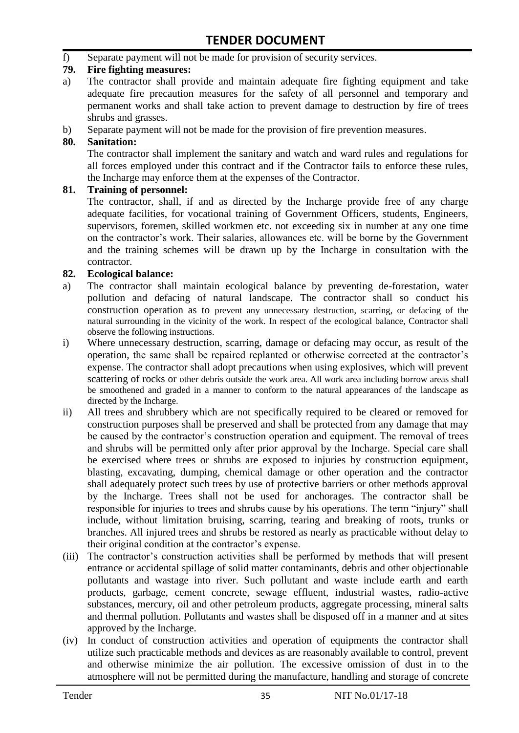f) Separate payment will not be made for provision of security services.

#### **79. Fire fighting measures:**

- a) The contractor shall provide and maintain adequate fire fighting equipment and take adequate fire precaution measures for the safety of all personnel and temporary and permanent works and shall take action to prevent damage to destruction by fire of trees shrubs and grasses.
- b) Separate payment will not be made for the provision of fire prevention measures.

#### **80. Sanitation:**

The contractor shall implement the sanitary and watch and ward rules and regulations for all forces employed under this contract and if the Contractor fails to enforce these rules, the Incharge may enforce them at the expenses of the Contractor.

#### **81. Training of personnel:**

The contractor, shall, if and as directed by the Incharge provide free of any charge adequate facilities, for vocational training of Government Officers, students, Engineers, supervisors, foremen, skilled workmen etc. not exceeding six in number at any one time on the contractor"s work. Their salaries, allowances etc. will be borne by the Government and the training schemes will be drawn up by the Incharge in consultation with the contractor.

#### **82. Ecological balance:**

- a) The contractor shall maintain ecological balance by preventing de-forestation, water pollution and defacing of natural landscape. The contractor shall so conduct his construction operation as to prevent any unnecessary destruction, scarring, or defacing of the natural surrounding in the vicinity of the work. In respect of the ecological balance, Contractor shall observe the following instructions.
- i) Where unnecessary destruction, scarring, damage or defacing may occur, as result of the operation, the same shall be repaired replanted or otherwise corrected at the contractor"s expense. The contractor shall adopt precautions when using explosives, which will prevent scattering of rocks or other debris outside the work area. All work area including borrow areas shall be smoothened and graded in a manner to conform to the natural appearances of the landscape as directed by the Incharge.
- ii) All trees and shrubbery which are not specifically required to be cleared or removed for construction purposes shall be preserved and shall be protected from any damage that may be caused by the contractor's construction operation and equipment. The removal of trees and shrubs will be permitted only after prior approval by the Incharge. Special care shall be exercised where trees or shrubs are exposed to injuries by construction equipment, blasting, excavating, dumping, chemical damage or other operation and the contractor shall adequately protect such trees by use of protective barriers or other methods approval by the Incharge. Trees shall not be used for anchorages. The contractor shall be responsible for injuries to trees and shrubs cause by his operations. The term "injury" shall include, without limitation bruising, scarring, tearing and breaking of roots, trunks or branches. All injured trees and shrubs be restored as nearly as practicable without delay to their original condition at the contractor"s expense.
- (iii) The contractor's construction activities shall be performed by methods that will present entrance or accidental spillage of solid matter contaminants, debris and other objectionable pollutants and wastage into river. Such pollutant and waste include earth and earth products, garbage, cement concrete, sewage effluent, industrial wastes, radio-active substances, mercury, oil and other petroleum products, aggregate processing, mineral salts and thermal pollution. Pollutants and wastes shall be disposed off in a manner and at sites approved by the Incharge.
- (iv) In conduct of construction activities and operation of equipments the contractor shall utilize such practicable methods and devices as are reasonably available to control, prevent and otherwise minimize the air pollution. The excessive omission of dust in to the atmosphere will not be permitted during the manufacture, handling and storage of concrete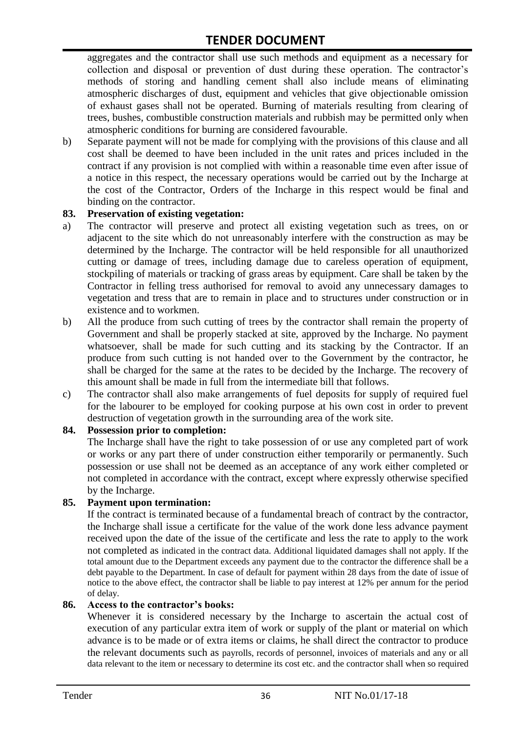aggregates and the contractor shall use such methods and equipment as a necessary for collection and disposal or prevention of dust during these operation. The contractor's methods of storing and handling cement shall also include means of eliminating atmospheric discharges of dust, equipment and vehicles that give objectionable omission of exhaust gases shall not be operated. Burning of materials resulting from clearing of trees, bushes, combustible construction materials and rubbish may be permitted only when atmospheric conditions for burning are considered favourable.

b) Separate payment will not be made for complying with the provisions of this clause and all cost shall be deemed to have been included in the unit rates and prices included in the contract if any provision is not complied with within a reasonable time even after issue of a notice in this respect, the necessary operations would be carried out by the Incharge at the cost of the Contractor, Orders of the Incharge in this respect would be final and binding on the contractor.

#### **83. Preservation of existing vegetation:**

- a) The contractor will preserve and protect all existing vegetation such as trees, on or adjacent to the site which do not unreasonably interfere with the construction as may be determined by the Incharge. The contractor will be held responsible for all unauthorized cutting or damage of trees, including damage due to careless operation of equipment, stockpiling of materials or tracking of grass areas by equipment. Care shall be taken by the Contractor in felling tress authorised for removal to avoid any unnecessary damages to vegetation and tress that are to remain in place and to structures under construction or in existence and to workmen.
- b) All the produce from such cutting of trees by the contractor shall remain the property of Government and shall be properly stacked at site, approved by the Incharge. No payment whatsoever, shall be made for such cutting and its stacking by the Contractor. If an produce from such cutting is not handed over to the Government by the contractor, he shall be charged for the same at the rates to be decided by the Incharge. The recovery of this amount shall be made in full from the intermediate bill that follows.
- c) The contractor shall also make arrangements of fuel deposits for supply of required fuel for the labourer to be employed for cooking purpose at his own cost in order to prevent destruction of vegetation growth in the surrounding area of the work site.

#### **84. Possession prior to completion:**

The Incharge shall have the right to take possession of or use any completed part of work or works or any part there of under construction either temporarily or permanently. Such possession or use shall not be deemed as an acceptance of any work either completed or not completed in accordance with the contract, except where expressly otherwise specified by the Incharge.

#### **85. Payment upon termination:**

If the contract is terminated because of a fundamental breach of contract by the contractor, the Incharge shall issue a certificate for the value of the work done less advance payment received upon the date of the issue of the certificate and less the rate to apply to the work not completed as indicated in the contract data. Additional liquidated damages shall not apply. If the total amount due to the Department exceeds any payment due to the contractor the difference shall be a debt payable to the Department. In case of default for payment within 28 days from the date of issue of notice to the above effect, the contractor shall be liable to pay interest at 12% per annum for the period of delay.

#### **86. Access to the contractor's books:**

Whenever it is considered necessary by the Incharge to ascertain the actual cost of execution of any particular extra item of work or supply of the plant or material on which advance is to be made or of extra items or claims, he shall direct the contractor to produce the relevant documents such as payrolls, records of personnel, invoices of materials and any or all data relevant to the item or necessary to determine its cost etc. and the contractor shall when so required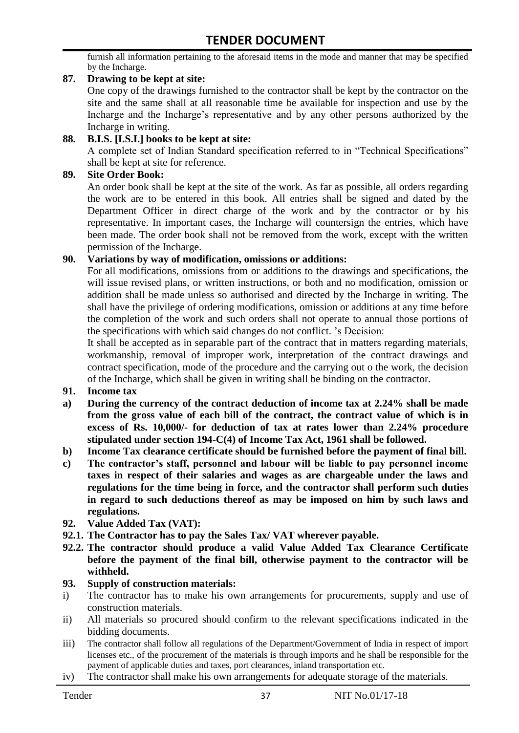furnish all information pertaining to the aforesaid items in the mode and manner that may be specified by the Incharge.

#### **87. Drawing to be kept at site:**

One copy of the drawings furnished to the contractor shall be kept by the contractor on the site and the same shall at all reasonable time be available for inspection and use by the Incharge and the Incharge"s representative and by any other persons authorized by the Incharge in writing.

#### **88. B.I.S. [I.S.I.] books to be kept at site:**

A complete set of Indian Standard specification referred to in "Technical Specifications" shall be kept at site for reference.

#### **89. Site Order Book:**

An order book shall be kept at the site of the work. As far as possible, all orders regarding the work are to be entered in this book. All entries shall be signed and dated by the Department Officer in direct charge of the work and by the contractor or by his representative. In important cases, the Incharge will countersign the entries, which have been made. The order book shall not be removed from the work, except with the written permission of the Incharge.

#### **90. Variations by way of modification, omissions or additions:**

For all modifications, omissions from or additions to the drawings and specifications, the will issue revised plans, or written instructions, or both and no modification, omission or addition shall be made unless so authorised and directed by the Incharge in writing. The shall have the privilege of ordering modifications, omission or additions at any time before the completion of the work and such orders shall not operate to annual those portions of the specifications with which said changes do not conflict. "s Decision:

It shall be accepted as in separable part of the contract that in matters regarding materials, workmanship, removal of improper work, interpretation of the contract drawings and contract specification, mode of the procedure and the carrying out o the work, the decision of the Incharge, which shall be given in writing shall be binding on the contractor.

- **91. Income tax**
- **a) During the currency of the contract deduction of income tax at 2.24% shall be made from the gross value of each bill of the contract, the contract value of which is in excess of Rs. 10,000/- for deduction of tax at rates lower than 2.24% procedure stipulated under section 194-C(4) of Income Tax Act, 1961 shall be followed.**
- **b) Income Tax clearance certificate should be furnished before the payment of final bill.**
- **c) The contractor's staff, personnel and labour will be liable to pay personnel income taxes in respect of their salaries and wages as are chargeable under the laws and regulations for the time being in force, and the contractor shall perform such duties in regard to such deductions thereof as may be imposed on him by such laws and regulations.**
- **92. Value Added Tax (VAT):**
- **92.1. The Contractor has to pay the Sales Tax/ VAT wherever payable.**
- **92.2. The contractor should produce a valid Value Added Tax Clearance Certificate before the payment of the final bill, otherwise payment to the contractor will be withheld.**

#### **93. Supply of construction materials:**

- i) The contractor has to make his own arrangements for procurements, supply and use of construction materials.
- ii) All materials so procured should confirm to the relevant specifications indicated in the bidding documents.
- iii) The contractor shall follow all regulations of the Department/Government of India in respect of import licenses etc., of the procurement of the materials is through imports and he shall be responsible for the payment of applicable duties and taxes, port clearances, inland transportation etc.
- iv) The contractor shall make his own arrangements for adequate storage of the materials.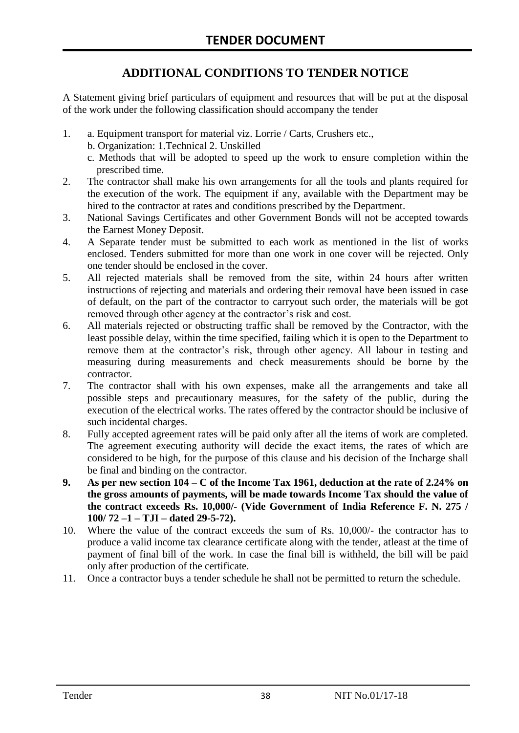## **ADDITIONAL CONDITIONS TO TENDER NOTICE**

A Statement giving brief particulars of equipment and resources that will be put at the disposal of the work under the following classification should accompany the tender

- 1. a. Equipment transport for material viz. Lorrie / Carts, Crushers etc.,
	- b. Organization: 1.Technical 2. Unskilled
	- c. Methods that will be adopted to speed up the work to ensure completion within the prescribed time.
- 2. The contractor shall make his own arrangements for all the tools and plants required for the execution of the work. The equipment if any, available with the Department may be hired to the contractor at rates and conditions prescribed by the Department.
- 3. National Savings Certificates and other Government Bonds will not be accepted towards the Earnest Money Deposit.
- 4. A Separate tender must be submitted to each work as mentioned in the list of works enclosed. Tenders submitted for more than one work in one cover will be rejected. Only one tender should be enclosed in the cover.
- 5. All rejected materials shall be removed from the site, within 24 hours after written instructions of rejecting and materials and ordering their removal have been issued in case of default, on the part of the contractor to carryout such order, the materials will be got removed through other agency at the contractor's risk and cost.
- 6. All materials rejected or obstructing traffic shall be removed by the Contractor, with the least possible delay, within the time specified, failing which it is open to the Department to remove them at the contractor's risk, through other agency. All labour in testing and measuring during measurements and check measurements should be borne by the contractor.
- 7. The contractor shall with his own expenses, make all the arrangements and take all possible steps and precautionary measures, for the safety of the public, during the execution of the electrical works. The rates offered by the contractor should be inclusive of such incidental charges.
- 8. Fully accepted agreement rates will be paid only after all the items of work are completed. The agreement executing authority will decide the exact items, the rates of which are considered to be high, for the purpose of this clause and his decision of the Incharge shall be final and binding on the contractor.
- **9. As per new section 104 – C of the Income Tax 1961, deduction at the rate of 2.24% on the gross amounts of payments, will be made towards Income Tax should the value of the contract exceeds Rs. 10,000/- (Vide Government of India Reference F. N. 275 / 100/ 72 –1 – TJI – dated 29-5-72).**
- 10. Where the value of the contract exceeds the sum of Rs. 10,000/- the contractor has to produce a valid income tax clearance certificate along with the tender, atleast at the time of payment of final bill of the work. In case the final bill is withheld, the bill will be paid only after production of the certificate.
- 11. Once a contractor buys a tender schedule he shall not be permitted to return the schedule.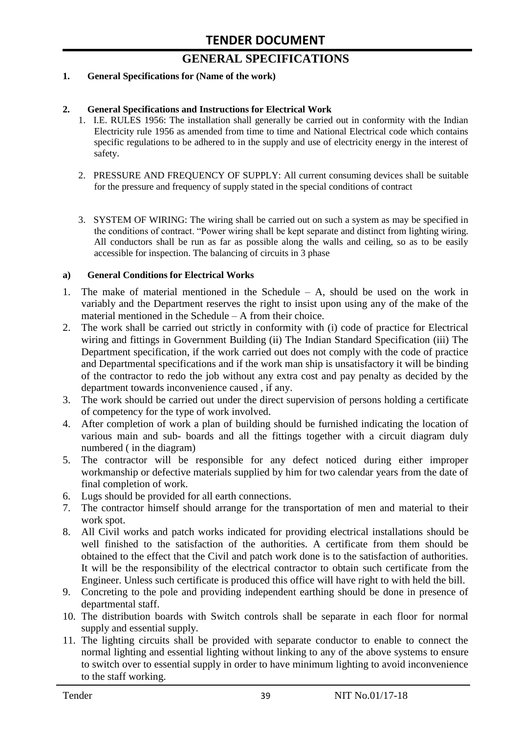# **GENERAL SPECIFICATIONS**

#### **1. General Specifications for (Name of the work)**

#### **2. General Specifications and Instructions for Electrical Work**

- 1. I.E. RULES 1956: The installation shall generally be carried out in conformity with the Indian Electricity rule 1956 as amended from time to time and National Electrical code which contains specific regulations to be adhered to in the supply and use of electricity energy in the interest of safety.
- 2. PRESSURE AND FREQUENCY OF SUPPLY: All current consuming devices shall be suitable for the pressure and frequency of supply stated in the special conditions of contract
- 3. SYSTEM OF WIRING: The wiring shall be carried out on such a system as may be specified in the conditions of contract. "Power wiring shall be kept separate and distinct from lighting wiring. All conductors shall be run as far as possible along the walls and ceiling, so as to be easily accessible for inspection. The balancing of circuits in 3 phase

#### **a) General Conditions for Electrical Works**

- 1. The make of material mentioned in the Schedule A, should be used on the work in variably and the Department reserves the right to insist upon using any of the make of the material mentioned in the Schedule – A from their choice.
- 2. The work shall be carried out strictly in conformity with (i) code of practice for Electrical wiring and fittings in Government Building (ii) The Indian Standard Specification (iii) The Department specification, if the work carried out does not comply with the code of practice and Departmental specifications and if the work man ship is unsatisfactory it will be binding of the contractor to redo the job without any extra cost and pay penalty as decided by the department towards inconvenience caused , if any.
- 3. The work should be carried out under the direct supervision of persons holding a certificate of competency for the type of work involved.
- 4. After completion of work a plan of building should be furnished indicating the location of various main and sub- boards and all the fittings together with a circuit diagram duly numbered ( in the diagram)
- 5. The contractor will be responsible for any defect noticed during either improper workmanship or defective materials supplied by him for two calendar years from the date of final completion of work.
- 6. Lugs should be provided for all earth connections.
- 7. The contractor himself should arrange for the transportation of men and material to their work spot.
- 8. All Civil works and patch works indicated for providing electrical installations should be well finished to the satisfaction of the authorities. A certificate from them should be obtained to the effect that the Civil and patch work done is to the satisfaction of authorities. It will be the responsibility of the electrical contractor to obtain such certificate from the Engineer. Unless such certificate is produced this office will have right to with held the bill.
- 9. Concreting to the pole and providing independent earthing should be done in presence of departmental staff.
- 10. The distribution boards with Switch controls shall be separate in each floor for normal supply and essential supply.
- 11. The lighting circuits shall be provided with separate conductor to enable to connect the normal lighting and essential lighting without linking to any of the above systems to ensure to switch over to essential supply in order to have minimum lighting to avoid inconvenience to the staff working.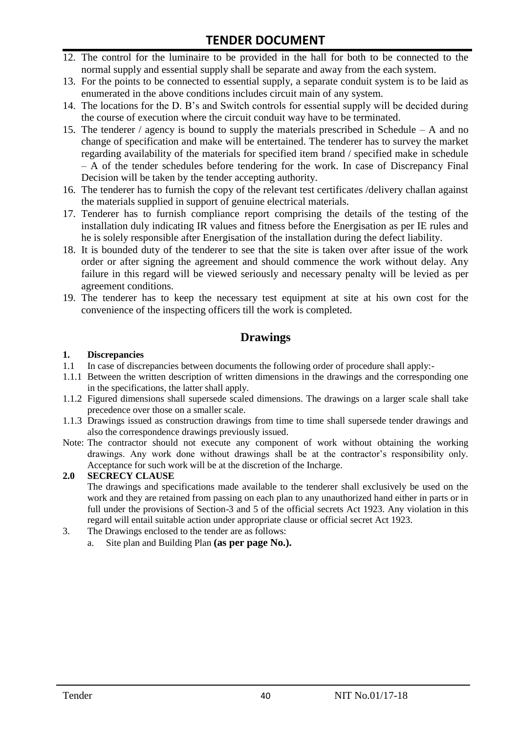- 12. The control for the luminaire to be provided in the hall for both to be connected to the normal supply and essential supply shall be separate and away from the each system.
- 13. For the points to be connected to essential supply, a separate conduit system is to be laid as enumerated in the above conditions includes circuit main of any system.
- 14. The locations for the D. B"s and Switch controls for essential supply will be decided during the course of execution where the circuit conduit way have to be terminated.
- 15. The tenderer / agency is bound to supply the materials prescribed in Schedule A and no change of specification and make will be entertained. The tenderer has to survey the market regarding availability of the materials for specified item brand / specified make in schedule – A of the tender schedules before tendering for the work. In case of Discrepancy Final Decision will be taken by the tender accepting authority.
- 16. The tenderer has to furnish the copy of the relevant test certificates /delivery challan against the materials supplied in support of genuine electrical materials.
- 17. Tenderer has to furnish compliance report comprising the details of the testing of the installation duly indicating IR values and fitness before the Energisation as per IE rules and he is solely responsible after Energisation of the installation during the defect liability.
- 18. It is bounded duty of the tenderer to see that the site is taken over after issue of the work order or after signing the agreement and should commence the work without delay. Any failure in this regard will be viewed seriously and necessary penalty will be levied as per agreement conditions.
- 19. The tenderer has to keep the necessary test equipment at site at his own cost for the convenience of the inspecting officers till the work is completed.

#### **Drawings**

# **1. Discrepancies**

- 1.1 In case of discrepancies between documents the following order of procedure shall apply:-
- 1.1.1 Between the written description of written dimensions in the drawings and the corresponding one in the specifications, the latter shall apply.
- 1.1.2 Figured dimensions shall supersede scaled dimensions. The drawings on a larger scale shall take precedence over those on a smaller scale.
- 1.1.3 Drawings issued as construction drawings from time to time shall supersede tender drawings and also the correspondence drawings previously issued.
- Note: The contractor should not execute any component of work without obtaining the working drawings. Any work done without drawings shall be at the contractor"s responsibility only. Acceptance for such work will be at the discretion of the Incharge.

#### **2.0 SECRECY CLAUSE**

The drawings and specifications made available to the tenderer shall exclusively be used on the work and they are retained from passing on each plan to any unauthorized hand either in parts or in full under the provisions of Section-3 and 5 of the official secrets Act 1923. Any violation in this regard will entail suitable action under appropriate clause or official secret Act 1923.

- 3. The Drawings enclosed to the tender are as follows:
	- a. Site plan and Building Plan **(as per page No.).**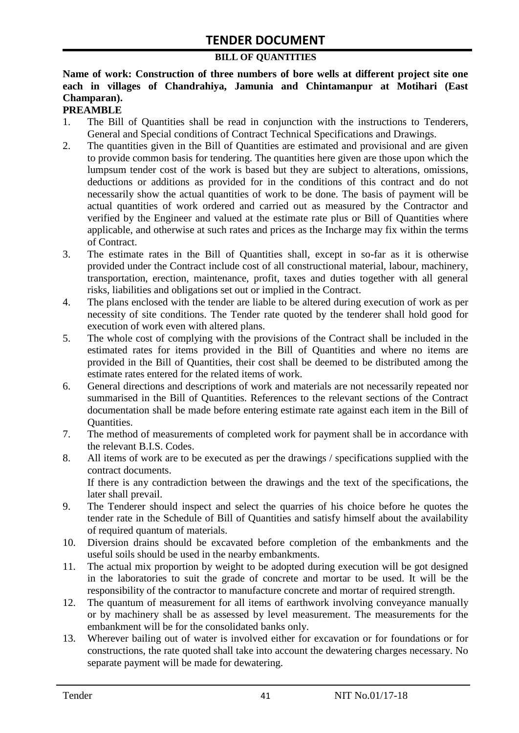#### **BILL OF QUANTITIES**

#### **Name of work: Construction of three numbers of bore wells at different project site one each in villages of Chandrahiya, Jamunia and Chintamanpur at Motihari (East Champaran).**

#### **PREAMBLE**

- 1. The Bill of Quantities shall be read in conjunction with the instructions to Tenderers, General and Special conditions of Contract Technical Specifications and Drawings.
- 2. The quantities given in the Bill of Quantities are estimated and provisional and are given to provide common basis for tendering. The quantities here given are those upon which the lumpsum tender cost of the work is based but they are subject to alterations, omissions, deductions or additions as provided for in the conditions of this contract and do not necessarily show the actual quantities of work to be done. The basis of payment will be actual quantities of work ordered and carried out as measured by the Contractor and verified by the Engineer and valued at the estimate rate plus or Bill of Quantities where applicable, and otherwise at such rates and prices as the Incharge may fix within the terms of Contract.
- 3. The estimate rates in the Bill of Quantities shall, except in so-far as it is otherwise provided under the Contract include cost of all constructional material, labour, machinery, transportation, erection, maintenance, profit, taxes and duties together with all general risks, liabilities and obligations set out or implied in the Contract.
- 4. The plans enclosed with the tender are liable to be altered during execution of work as per necessity of site conditions. The Tender rate quoted by the tenderer shall hold good for execution of work even with altered plans.
- 5. The whole cost of complying with the provisions of the Contract shall be included in the estimated rates for items provided in the Bill of Quantities and where no items are provided in the Bill of Quantities, their cost shall be deemed to be distributed among the estimate rates entered for the related items of work.
- 6. General directions and descriptions of work and materials are not necessarily repeated nor summarised in the Bill of Quantities. References to the relevant sections of the Contract documentation shall be made before entering estimate rate against each item in the Bill of Quantities.
- 7. The method of measurements of completed work for payment shall be in accordance with the relevant B.I.S. Codes.
- 8. All items of work are to be executed as per the drawings / specifications supplied with the contract documents. If there is any contradiction between the drawings and the text of the specifications, the later shall prevail.
- 9. The Tenderer should inspect and select the quarries of his choice before he quotes the tender rate in the Schedule of Bill of Quantities and satisfy himself about the availability of required quantum of materials.
- 10. Diversion drains should be excavated before completion of the embankments and the useful soils should be used in the nearby embankments.
- 11. The actual mix proportion by weight to be adopted during execution will be got designed in the laboratories to suit the grade of concrete and mortar to be used. It will be the responsibility of the contractor to manufacture concrete and mortar of required strength.
- 12. The quantum of measurement for all items of earthwork involving conveyance manually or by machinery shall be as assessed by level measurement. The measurements for the embankment will be for the consolidated banks only.
- 13. Wherever bailing out of water is involved either for excavation or for foundations or for constructions, the rate quoted shall take into account the dewatering charges necessary. No separate payment will be made for dewatering.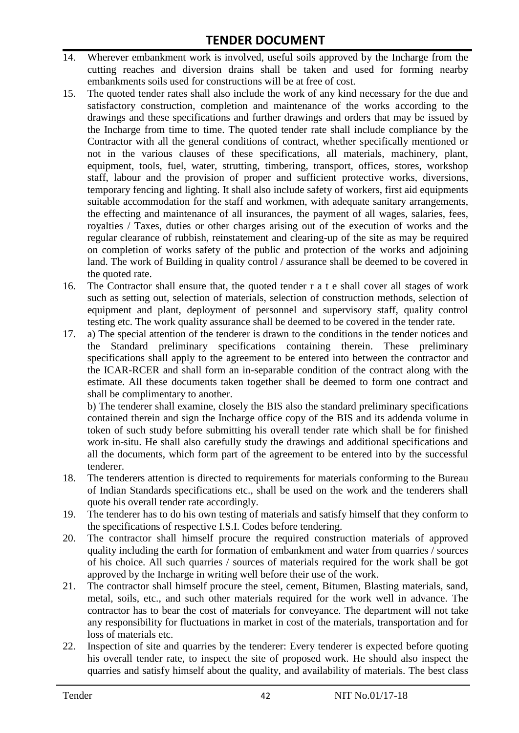- 14. Wherever embankment work is involved, useful soils approved by the Incharge from the cutting reaches and diversion drains shall be taken and used for forming nearby embankments soils used for constructions will be at free of cost.
- 15. The quoted tender rates shall also include the work of any kind necessary for the due and satisfactory construction, completion and maintenance of the works according to the drawings and these specifications and further drawings and orders that may be issued by the Incharge from time to time. The quoted tender rate shall include compliance by the Contractor with all the general conditions of contract, whether specifically mentioned or not in the various clauses of these specifications, all materials, machinery, plant, equipment, tools, fuel, water, strutting, timbering, transport, offices, stores, workshop staff, labour and the provision of proper and sufficient protective works, diversions, temporary fencing and lighting. It shall also include safety of workers, first aid equipments suitable accommodation for the staff and workmen, with adequate sanitary arrangements, the effecting and maintenance of all insurances, the payment of all wages, salaries, fees, royalties / Taxes, duties or other charges arising out of the execution of works and the regular clearance of rubbish, reinstatement and clearing-up of the site as may be required on completion of works safety of the public and protection of the works and adjoining land. The work of Building in quality control / assurance shall be deemed to be covered in the quoted rate.
- 16. The Contractor shall ensure that, the quoted tender r a t e shall cover all stages of work such as setting out, selection of materials, selection of construction methods, selection of equipment and plant, deployment of personnel and supervisory staff, quality control testing etc. The work quality assurance shall be deemed to be covered in the tender rate.
- 17. a) The special attention of the tenderer is drawn to the conditions in the tender notices and the Standard preliminary specifications containing therein. These preliminary specifications shall apply to the agreement to be entered into between the contractor and the ICAR-RCER and shall form an in-separable condition of the contract along with the estimate. All these documents taken together shall be deemed to form one contract and shall be complimentary to another.

b) The tenderer shall examine, closely the BIS also the standard preliminary specifications contained therein and sign the Incharge office copy of the BIS and its addenda volume in token of such study before submitting his overall tender rate which shall be for finished work in-situ. He shall also carefully study the drawings and additional specifications and all the documents, which form part of the agreement to be entered into by the successful tenderer.

- 18. The tenderers attention is directed to requirements for materials conforming to the Bureau of Indian Standards specifications etc., shall be used on the work and the tenderers shall quote his overall tender rate accordingly.
- 19. The tenderer has to do his own testing of materials and satisfy himself that they conform to the specifications of respective I.S.I. Codes before tendering.
- 20. The contractor shall himself procure the required construction materials of approved quality including the earth for formation of embankment and water from quarries / sources of his choice. All such quarries / sources of materials required for the work shall be got approved by the Incharge in writing well before their use of the work.
- 21. The contractor shall himself procure the steel, cement, Bitumen, Blasting materials, sand, metal, soils, etc., and such other materials required for the work well in advance. The contractor has to bear the cost of materials for conveyance. The department will not take any responsibility for fluctuations in market in cost of the materials, transportation and for loss of materials etc.
- 22. Inspection of site and quarries by the tenderer: Every tenderer is expected before quoting his overall tender rate, to inspect the site of proposed work. He should also inspect the quarries and satisfy himself about the quality, and availability of materials. The best class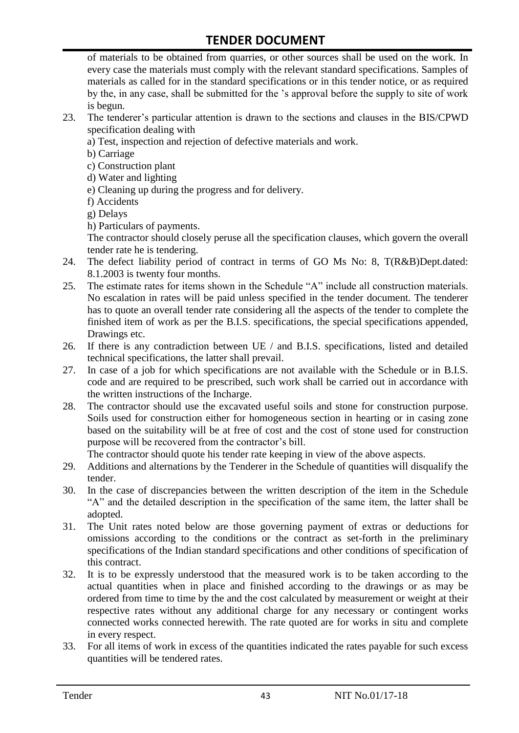of materials to be obtained from quarries, or other sources shall be used on the work. In every case the materials must comply with the relevant standard specifications. Samples of materials as called for in the standard specifications or in this tender notice, or as required by the, in any case, shall be submitted for the "s approval before the supply to site of work is begun.

- 23. The tenderer"s particular attention is drawn to the sections and clauses in the BIS/CPWD specification dealing with
	- a) Test, inspection and rejection of defective materials and work.
	- b) Carriage
	- c) Construction plant
	- d) Water and lighting
	- e) Cleaning up during the progress and for delivery.
	- f) Accidents
	- g) Delays
	- h) Particulars of payments.

The contractor should closely peruse all the specification clauses, which govern the overall tender rate he is tendering.

- 24. The defect liability period of contract in terms of GO Ms No: 8, T(R&B)Dept.dated: 8.1.2003 is twenty four months.
- 25. The estimate rates for items shown in the Schedule "A" include all construction materials. No escalation in rates will be paid unless specified in the tender document. The tenderer has to quote an overall tender rate considering all the aspects of the tender to complete the finished item of work as per the B.I.S. specifications, the special specifications appended, Drawings etc.
- 26. If there is any contradiction between UE / and B.I.S. specifications, listed and detailed technical specifications, the latter shall prevail.
- 27. In case of a job for which specifications are not available with the Schedule or in B.I.S. code and are required to be prescribed, such work shall be carried out in accordance with the written instructions of the Incharge.
- 28. The contractor should use the excavated useful soils and stone for construction purpose. Soils used for construction either for homogeneous section in hearting or in casing zone based on the suitability will be at free of cost and the cost of stone used for construction purpose will be recovered from the contractor's bill.

The contractor should quote his tender rate keeping in view of the above aspects.

- 29. Additions and alternations by the Tenderer in the Schedule of quantities will disqualify the tender.
- 30. In the case of discrepancies between the written description of the item in the Schedule "A" and the detailed description in the specification of the same item, the latter shall be adopted.
- 31. The Unit rates noted below are those governing payment of extras or deductions for omissions according to the conditions or the contract as set-forth in the preliminary specifications of the Indian standard specifications and other conditions of specification of this contract.
- 32. It is to be expressly understood that the measured work is to be taken according to the actual quantities when in place and finished according to the drawings or as may be ordered from time to time by the and the cost calculated by measurement or weight at their respective rates without any additional charge for any necessary or contingent works connected works connected herewith. The rate quoted are for works in situ and complete in every respect.
- 33. For all items of work in excess of the quantities indicated the rates payable for such excess quantities will be tendered rates.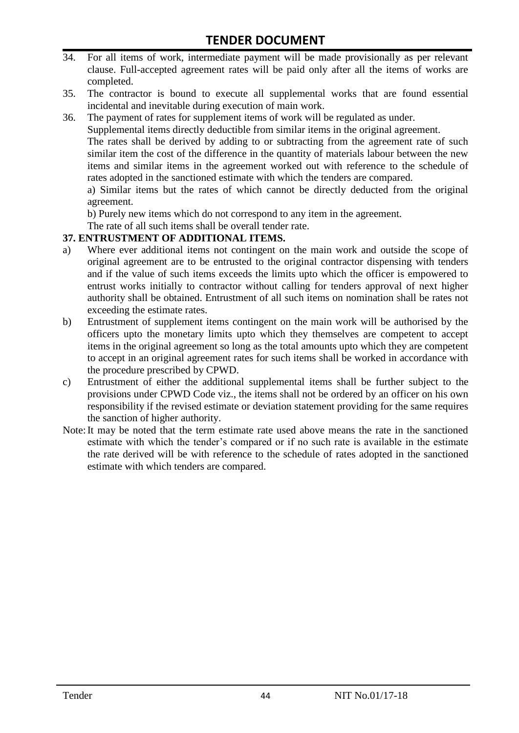- 34. For all items of work, intermediate payment will be made provisionally as per relevant clause. Full-accepted agreement rates will be paid only after all the items of works are completed.
- 35. The contractor is bound to execute all supplemental works that are found essential incidental and inevitable during execution of main work.
- 36. The payment of rates for supplement items of work will be regulated as under.

Supplemental items directly deductible from similar items in the original agreement.

The rates shall be derived by adding to or subtracting from the agreement rate of such similar item the cost of the difference in the quantity of materials labour between the new items and similar items in the agreement worked out with reference to the schedule of rates adopted in the sanctioned estimate with which the tenders are compared.

a) Similar items but the rates of which cannot be directly deducted from the original agreement.

b) Purely new items which do not correspond to any item in the agreement.

The rate of all such items shall be overall tender rate.

#### **37. ENTRUSTMENT OF ADDITIONAL ITEMS.**

- a) Where ever additional items not contingent on the main work and outside the scope of original agreement are to be entrusted to the original contractor dispensing with tenders and if the value of such items exceeds the limits upto which the officer is empowered to entrust works initially to contractor without calling for tenders approval of next higher authority shall be obtained. Entrustment of all such items on nomination shall be rates not exceeding the estimate rates.
- b) Entrustment of supplement items contingent on the main work will be authorised by the officers upto the monetary limits upto which they themselves are competent to accept items in the original agreement so long as the total amounts upto which they are competent to accept in an original agreement rates for such items shall be worked in accordance with the procedure prescribed by CPWD.
- c) Entrustment of either the additional supplemental items shall be further subject to the provisions under CPWD Code viz., the items shall not be ordered by an officer on his own responsibility if the revised estimate or deviation statement providing for the same requires the sanction of higher authority.
- Note:It may be noted that the term estimate rate used above means the rate in the sanctioned estimate with which the tender"s compared or if no such rate is available in the estimate the rate derived will be with reference to the schedule of rates adopted in the sanctioned estimate with which tenders are compared.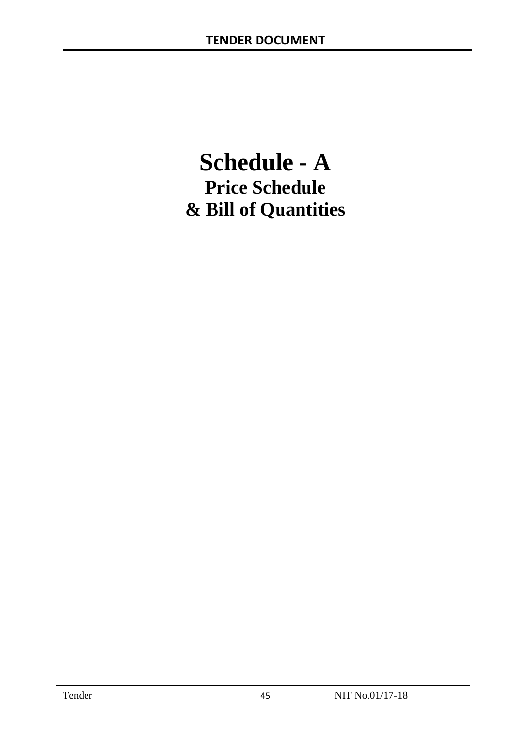# **Schedule - A Price Schedule & Bill of Quantities**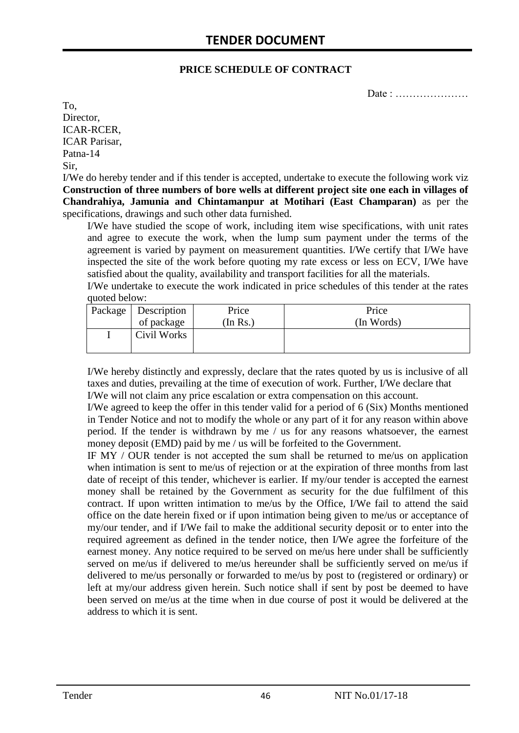#### **PRICE SCHEDULE OF CONTRACT**

Date : …………………

To, Director, ICAR-RCER, ICAR Parisar, Patna-14 Sir,

I/We do hereby tender and if this tender is accepted, undertake to execute the following work viz **Construction of three numbers of bore wells at different project site one each in villages of Chandrahiya, Jamunia and Chintamanpur at Motihari (East Champaran)** as per the specifications, drawings and such other data furnished.

I/We have studied the scope of work, including item wise specifications, with unit rates and agree to execute the work, when the lump sum payment under the terms of the agreement is varied by payment on measurement quantities. I/We certify that I/We have inspected the site of the work before quoting my rate excess or less on ECV, I/We have satisfied about the quality, availability and transport facilities for all the materials.

I/We undertake to execute the work indicated in price schedules of this tender at the rates quoted below:

| Package   Description | Price   | Price      |
|-----------------------|---------|------------|
| of package            | In Rs.) | (In Words) |
| Civil Works           |         |            |

I/We hereby distinctly and expressly, declare that the rates quoted by us is inclusive of all taxes and duties, prevailing at the time of execution of work. Further, I/We declare that I/We will not claim any price escalation or extra compensation on this account.

I/We agreed to keep the offer in this tender valid for a period of 6 (Six) Months mentioned in Tender Notice and not to modify the whole or any part of it for any reason within above period. If the tender is withdrawn by me / us for any reasons whatsoever, the earnest money deposit (EMD) paid by me / us will be forfeited to the Government.

IF MY / OUR tender is not accepted the sum shall be returned to me/us on application when intimation is sent to me/us of rejection or at the expiration of three months from last date of receipt of this tender, whichever is earlier. If my/our tender is accepted the earnest money shall be retained by the Government as security for the due fulfilment of this contract. If upon written intimation to me/us by the Office, I/We fail to attend the said office on the date herein fixed or if upon intimation being given to me/us or acceptance of my/our tender, and if I/We fail to make the additional security deposit or to enter into the required agreement as defined in the tender notice, then I/We agree the forfeiture of the earnest money. Any notice required to be served on me/us here under shall be sufficiently served on me/us if delivered to me/us hereunder shall be sufficiently served on me/us if delivered to me/us personally or forwarded to me/us by post to (registered or ordinary) or left at my/our address given herein. Such notice shall if sent by post be deemed to have been served on me/us at the time when in due course of post it would be delivered at the address to which it is sent.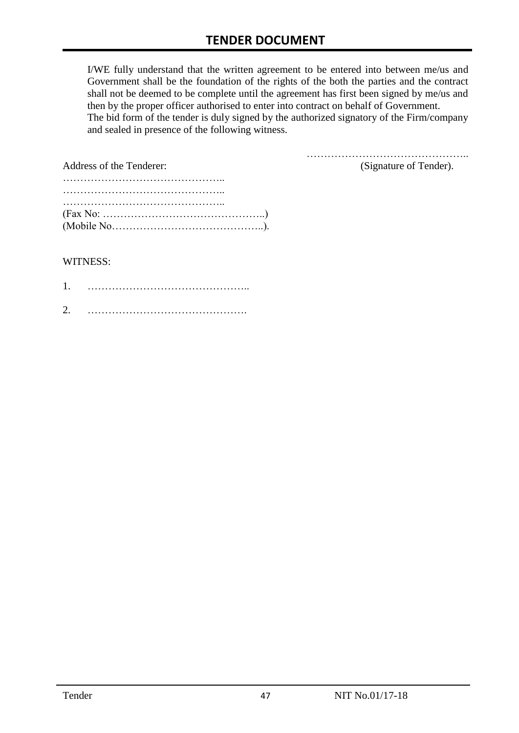I/WE fully understand that the written agreement to be entered into between me/us and Government shall be the foundation of the rights of the both the parties and the contract shall not be deemed to be complete until the agreement has first been signed by me/us and then by the proper officer authorised to enter into contract on behalf of Government. The bid form of the tender is duly signed by the authorized signatory of the Firm/company and sealed in presence of the following witness.

| Address of the Tenderer:                                                                  | (Signature of Tender). |
|-------------------------------------------------------------------------------------------|------------------------|
|                                                                                           |                        |
|                                                                                           |                        |
|                                                                                           |                        |
| $(Fax No: \dots \dots \dots \dots \dots \dots \dots \dots \dots \dots \dots \dots \dots)$ |                        |
|                                                                                           |                        |

#### WITNESS:

| ⌒ |  |
|---|--|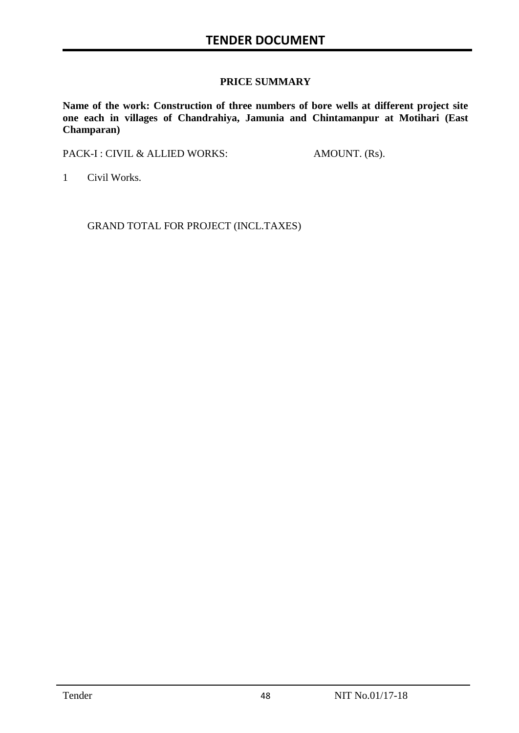#### **PRICE SUMMARY**

**Name of the work: Construction of three numbers of bore wells at different project site one each in villages of Chandrahiya, Jamunia and Chintamanpur at Motihari (East Champaran)**

PACK-I : CIVIL & ALLIED WORKS: AMOUNT. (Rs).

1 Civil Works.

GRAND TOTAL FOR PROJECT (INCL.TAXES)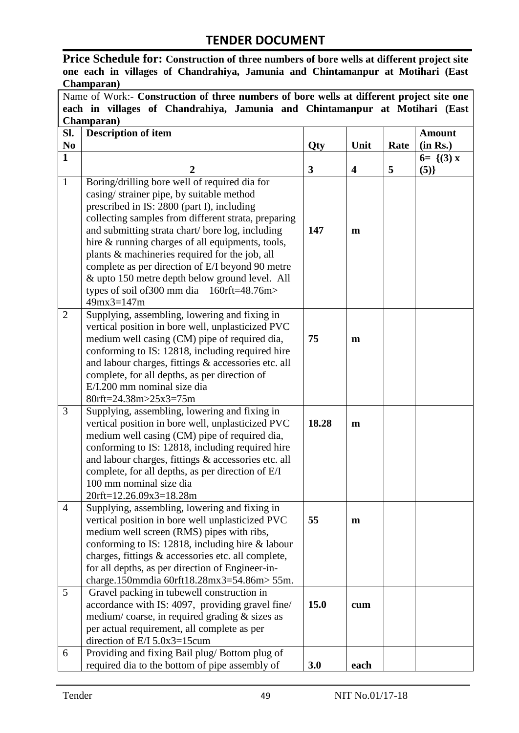**Price Schedule for: Construction of three numbers of bore wells at different project site one each in villages of Chandrahiya, Jamunia and Chintamanpur at Motihari (East Champaran)**

Name of Work:- **Construction of three numbers of bore wells at different project site one each in villages of Chandrahiya, Jamunia and Chintamanpur at Motihari (East Champaran)**

| SI.            | <b>Description of item</b>                                                   |            |                         |      | <b>Amount</b> |
|----------------|------------------------------------------------------------------------------|------------|-------------------------|------|---------------|
| N <sub>0</sub> |                                                                              | <b>Qty</b> | Unit                    | Rate | (in Rs.)      |
| $\mathbf{1}$   |                                                                              |            |                         |      | $6 = \{(3) x$ |
|                | $\overline{2}$                                                               | 3          | $\overline{\mathbf{4}}$ | 5    | (5)           |
| $\mathbf{1}$   | Boring/drilling bore well of required dia for                                |            |                         |      |               |
|                | casing/strainer pipe, by suitable method                                     |            |                         |      |               |
|                | prescribed in IS: 2800 (part I), including                                   |            |                         |      |               |
|                | collecting samples from different strata, preparing                          |            |                         |      |               |
|                | and submitting strata chart/ bore log, including                             | 147        | m                       |      |               |
|                | hire & running charges of all equipments, tools,                             |            |                         |      |               |
|                | plants & machineries required for the job, all                               |            |                         |      |               |
|                | complete as per direction of E/I beyond 90 metre                             |            |                         |      |               |
|                | & upto 150 metre depth below ground level. All                               |            |                         |      |               |
|                | types of soil of 300 mm dia $160$ rft=48.76m>                                |            |                         |      |               |
|                | $49mx3=147m$                                                                 |            |                         |      |               |
| $\overline{2}$ | Supplying, assembling, lowering and fixing in                                |            |                         |      |               |
|                | vertical position in bore well, unplasticized PVC                            |            |                         |      |               |
|                | medium well casing (CM) pipe of required dia,                                | 75         | $\mathbf{m}$            |      |               |
|                | conforming to IS: 12818, including required hire                             |            |                         |      |               |
|                | and labour charges, fittings & accessories etc. all                          |            |                         |      |               |
|                | complete, for all depths, as per direction of<br>E/I.200 mm nominal size dia |            |                         |      |               |
|                | 80rft=24.38m>25x3=75m                                                        |            |                         |      |               |
| 3              | Supplying, assembling, lowering and fixing in                                |            |                         |      |               |
|                | vertical position in bore well, unplasticized PVC                            | 18.28      | $\mathbf{m}$            |      |               |
|                | medium well casing (CM) pipe of required dia,                                |            |                         |      |               |
|                | conforming to IS: 12818, including required hire                             |            |                         |      |               |
|                | and labour charges, fittings & accessories etc. all                          |            |                         |      |               |
|                | complete, for all depths, as per direction of E/I                            |            |                         |      |               |
|                | 100 mm nominal size dia                                                      |            |                         |      |               |
|                | 20rft=12.26.09x3=18.28m                                                      |            |                         |      |               |
| 4              | Supplying, assembling, lowering and fixing in                                |            |                         |      |               |
|                | vertical position in bore well unplasticized PVC                             | 55         | m                       |      |               |
|                | medium well screen (RMS) pipes with ribs,                                    |            |                         |      |               |
|                | conforming to IS: 12818, including hire & labour                             |            |                         |      |               |
|                | charges, fittings & accessories etc. all complete,                           |            |                         |      |               |
|                | for all depths, as per direction of Engineer-in-                             |            |                         |      |               |
|                | charge.150mmdia 60rft18.28mx3=54.86m> 55m.                                   |            |                         |      |               |
| 5              | Gravel packing in tubewell construction in                                   |            |                         |      |               |
|                | accordance with IS: 4097, providing gravel fine/                             | 15.0       | cum                     |      |               |
|                | medium/coarse, in required grading $&$ sizes as                              |            |                         |      |               |
|                | per actual requirement, all complete as per                                  |            |                         |      |               |
|                | direction of $E/I$ 5.0x3=15cum                                               |            |                         |      |               |
| 6              | Providing and fixing Bail plug/Bottom plug of                                |            |                         |      |               |
|                | required dia to the bottom of pipe assembly of                               | 3.0        | each                    |      |               |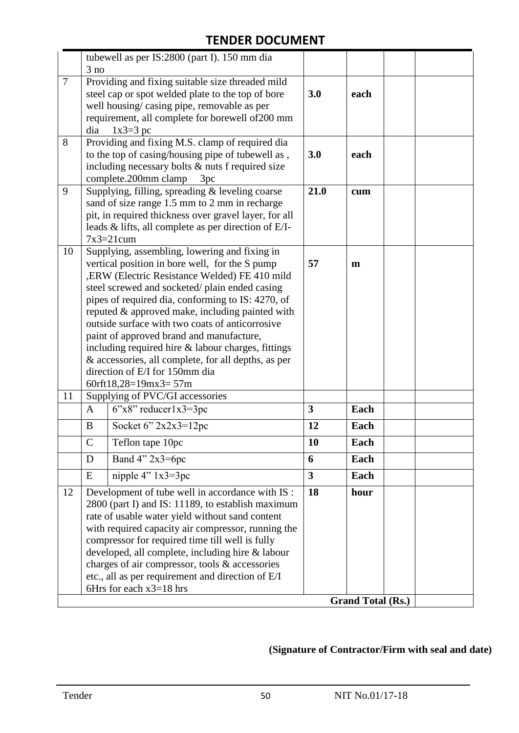|                |              | tubewell as per IS:2800 (part I). 150 mm dia                                                                                                                                                                                                                                                                                                                                                                                                                                                                                                                                       |                         |                          |  |
|----------------|--------------|------------------------------------------------------------------------------------------------------------------------------------------------------------------------------------------------------------------------------------------------------------------------------------------------------------------------------------------------------------------------------------------------------------------------------------------------------------------------------------------------------------------------------------------------------------------------------------|-------------------------|--------------------------|--|
|                | 3 no         |                                                                                                                                                                                                                                                                                                                                                                                                                                                                                                                                                                                    |                         |                          |  |
| $\overline{7}$ | dia          | Providing and fixing suitable size threaded mild<br>steel cap or spot welded plate to the top of bore<br>well housing/casing pipe, removable as per<br>requirement, all complete for borewell of 200 mm<br>$1x3=3$ pc                                                                                                                                                                                                                                                                                                                                                              | 3.0                     | each                     |  |
| 8              |              | Providing and fixing M.S. clamp of required dia<br>to the top of casing/housing pipe of tubewell as,<br>including necessary bolts $&$ nuts f required size<br>complete.200mm clamp<br>3pc                                                                                                                                                                                                                                                                                                                                                                                          | 3.0                     | each                     |  |
| 9              |              | Supplying, filling, spreading & leveling coarse<br>sand of size range 1.5 mm to 2 mm in recharge<br>pit, in required thickness over gravel layer, for all<br>leads $\&$ lifts, all complete as per direction of E/I-<br>$7x3=21$ cum                                                                                                                                                                                                                                                                                                                                               | 21.0                    | cum                      |  |
| 10             |              | Supplying, assembling, lowering and fixing in<br>vertical position in bore well, for the S pump<br>, ERW (Electric Resistance Welded) FE 410 mild<br>steel screwed and socketed/plain ended casing<br>pipes of required dia, conforming to IS: 4270, of<br>reputed & approved make, including painted with<br>outside surface with two coats of anticorrosive<br>paint of approved brand and manufacture,<br>including required hire $&$ labour charges, fittings<br>& accessories, all complete, for all depths, as per<br>direction of E/I for 150mm dia<br>60rft18,28=19mx3=57m | 57                      | m                        |  |
| 11             |              | Supplying of PVC/GI accessories                                                                                                                                                                                                                                                                                                                                                                                                                                                                                                                                                    |                         |                          |  |
|                | $\mathbf{A}$ | $6"x8"$ reducer $1x3=3pc$                                                                                                                                                                                                                                                                                                                                                                                                                                                                                                                                                          | $\overline{\mathbf{3}}$ | Each                     |  |
|                | B            | Socket 6" 2x2x3=12pc                                                                                                                                                                                                                                                                                                                                                                                                                                                                                                                                                               | 12                      | Each                     |  |
|                | $\mathsf{C}$ | Teflon tape 10pc                                                                                                                                                                                                                                                                                                                                                                                                                                                                                                                                                                   | 10                      | Each                     |  |
|                | D            | Band $4$ " $2x3=6pc$                                                                                                                                                                                                                                                                                                                                                                                                                                                                                                                                                               | 6                       | Each                     |  |
|                | E            | nipple $4$ " $1x3=3pc$                                                                                                                                                                                                                                                                                                                                                                                                                                                                                                                                                             | $\overline{\mathbf{3}}$ | Each                     |  |
| 12             |              | Development of tube well in accordance with IS :<br>2800 (part I) and IS: 11189, to establish maximum<br>rate of usable water yield without sand content<br>with required capacity air compressor, running the<br>compressor for required time till well is fully<br>developed, all complete, including hire & labour<br>charges of air compressor, tools & accessories<br>etc., all as per requirement and direction of E/I<br>6Hrs for each $x3=18$ hrs                                                                                                                          | 18                      | hour                     |  |
|                |              |                                                                                                                                                                                                                                                                                                                                                                                                                                                                                                                                                                                    |                         | <b>Grand Total (Rs.)</b> |  |

## **(Signature of Contractor/Firm with seal and date)**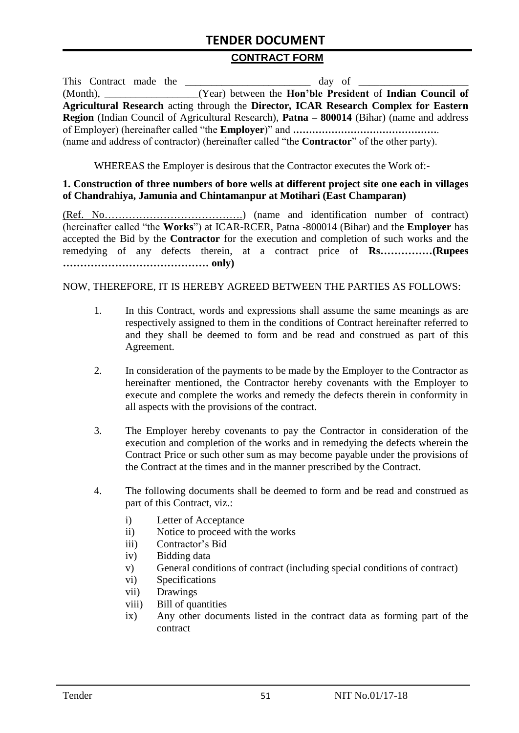#### **CONTRACT FORM**

| This Contract made the |                                                                                                          |
|------------------------|----------------------------------------------------------------------------------------------------------|
|                        | (Month), ____________________(Year) between the <b>Hon'ble President</b> of <b>Indian Council of</b>     |
|                        | Agricultural Research acting through the Director, ICAR Research Complex for Eastern                     |
|                        | <b>Region</b> (Indian Council of Agricultural Research), <b>Patna – 800014</b> (Bihar) (name and address |
|                        |                                                                                                          |
|                        | (name and address of contractor) (hereinafter called "the <b>Contractor</b> " of the other party).       |

WHEREAS the Employer is desirous that the Contractor executes the Work of:-

#### **1. Construction of three numbers of bore wells at different project site one each in villages of Chandrahiya, Jamunia and Chintamanpur at Motihari (East Champaran)**

(Ref. No………………………………….) (name and identification number of contract) (hereinafter called "the **Works**") at ICAR-RCER, Patna -800014 (Bihar) and the **Employer** has accepted the Bid by the **Contractor** for the execution and completion of such works and the remedying of any defects therein, at a contract price of **Rs……………(Rupees …………………………………… only)**

#### NOW, THEREFORE, IT IS HEREBY AGREED BETWEEN THE PARTIES AS FOLLOWS:

- 1. In this Contract, words and expressions shall assume the same meanings as are respectively assigned to them in the conditions of Contract hereinafter referred to and they shall be deemed to form and be read and construed as part of this Agreement.
- 2. In consideration of the payments to be made by the Employer to the Contractor as hereinafter mentioned, the Contractor hereby covenants with the Employer to execute and complete the works and remedy the defects therein in conformity in all aspects with the provisions of the contract.
- 3. The Employer hereby covenants to pay the Contractor in consideration of the execution and completion of the works and in remedying the defects wherein the Contract Price or such other sum as may become payable under the provisions of the Contract at the times and in the manner prescribed by the Contract.
- 4. The following documents shall be deemed to form and be read and construed as part of this Contract, viz.:
	- i) Letter of Acceptance
	- ii) Notice to proceed with the works
	- iii) Contractor"s Bid
	- iv) Bidding data
	- v) General conditions of contract (including special conditions of contract)
	- vi) Specifications
	- vii) Drawings
	- viii) Bill of quantities
	- ix) Any other documents listed in the contract data as forming part of the contract